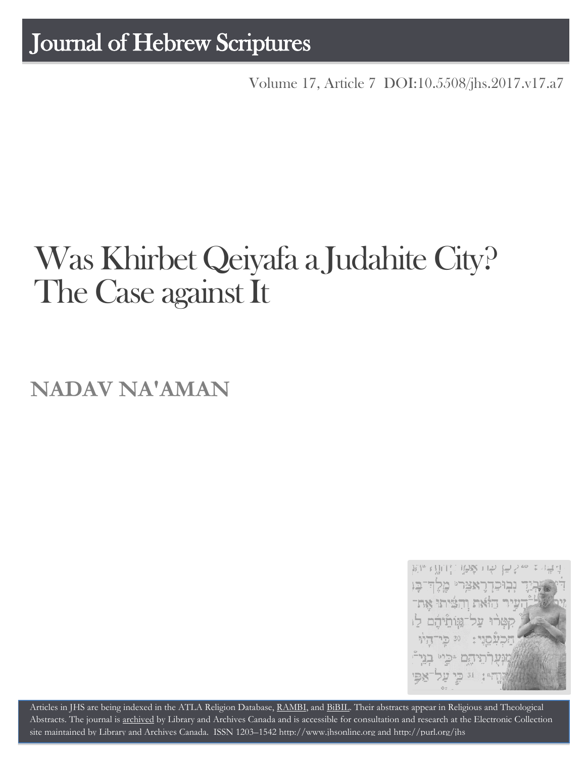## Journal of Hebrew Scriptures

Volume 17, Article 7 [DOI:10.5508/jhs.2017.v17.a7](http://dx.doi.org/10.5508/jhs.2017.v17.a7)

# Was Khirbet Qeiyafa a Judahite City? The Case against It

**NADAV NA'AMAN**



Articles in JHS are being indexed in the ATLA Religion Database, [RAMBI,](http://jnul.huji.ac.il/rambi/) and [BiBIL.](http://bibil.net/) Their abstracts appear in Religious and Theological Abstracts. The journal is [archived](http://epe.lac-bac.gc.ca/100/201/300/journal_hebrew/index.html) by Library and Archives Canada and is accessible for consultation and research at the Electronic Collection site maintained by [Library and Archives Canada.](http://collectionscanada.ca/electroniccollection/003008-200-e.html) ISSN 1203–154[2 http://www.jhsonline.org](http://www.jhsonline.org/) and<http://purl.org/jhs>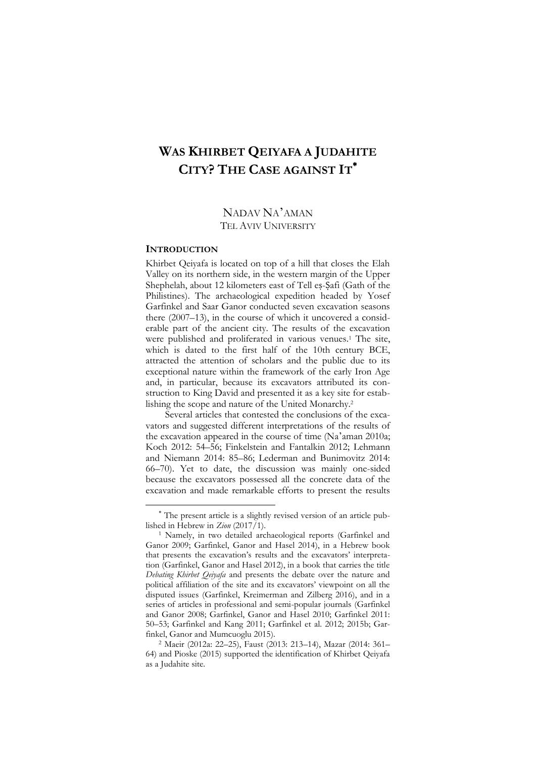### **WAS KHIRBET QEIYAFA A JUDAHITE CITY? THE CASE AGAINST IT**

#### NADAV NA'AMAN TEL AVIV UNIVERSITY

#### **INTRODUCTION**

 $\overline{a}$ 

Khirbet Qeiyafa is located on top of a hill that closes the Elah Valley on its northern side, in the western margin of the Upper Shephelah, about 12 kilometers east of Tell es-Safi (Gath of the Philistines). The archaeological expedition headed by Yosef Garfinkel and Saar Ganor conducted seven excavation seasons there (2007–13), in the course of which it uncovered a considerable part of the ancient city. The results of the excavation were published and proliferated in various venues.<sup>1</sup> The site, which is dated to the first half of the 10th century BCE, attracted the attention of scholars and the public due to its exceptional nature within the framework of the early Iron Age and, in particular, because its excavators attributed its construction to King David and presented it as a key site for establishing the scope and nature of the United Monarchy.<sup>2</sup>

Several articles that contested the conclusions of the excavators and suggested different interpretations of the results of the excavation appeared in the course of time (Na'aman 2010a; Koch 2012: 54–56; Finkelstein and Fantalkin 2012; Lehmann and Niemann 2014: 85–86; Lederman and Bunimovitz 2014: 66–70). Yet to date, the discussion was mainly one-sided because the excavators possessed all the concrete data of the excavation and made remarkable efforts to present the results

The present article is a slightly revised version of an article published in Hebrew in *Zion* (2017/1).

<sup>1</sup> Namely, in two detailed archaeological reports (Garfinkel and Ganor 2009; Garfinkel, Ganor and Hasel 2014), in a Hebrew book that presents the excavation's results and the excavators' interpretation (Garfinkel, Ganor and Hasel 2012), in a book that carries the title *Debating Khirbet Qeiyafa* and presents the debate over the nature and political affiliation of the site and its excavators' viewpoint on all the disputed issues (Garfinkel, Kreimerman and Zilberg 2016), and in a series of articles in professional and semi-popular journals (Garfinkel and Ganor 2008; Garfinkel, Ganor and Hasel 2010; Garfinkel 2011: 50–53; Garfinkel and Kang 2011; Garfinkel et al. 2012; 2015b; Garfinkel, Ganor and Mumcuoglu 2015).

<sup>2</sup> Maeir (2012a: 22–25), Faust (2013: 213–14), Mazar (2014: 361– 64) and Pioske (2015) supported the identification of Khirbet Qeiyafa as a Judahite site.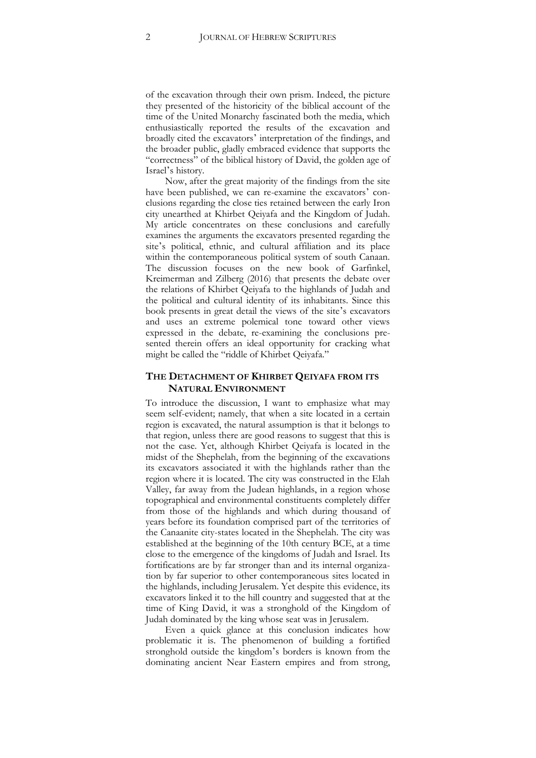of the excavation through their own prism. Indeed, the picture they presented of the historicity of the biblical account of the time of the United Monarchy fascinated both the media, which enthusiastically reported the results of the excavation and broadly cited the excavators' interpretation of the findings, and the broader public, gladly embraced evidence that supports the "correctness" of the biblical history of David, the golden age of Israel's history.

Now, after the great majority of the findings from the site have been published, we can re-examine the excavators' conclusions regarding the close ties retained between the early Iron city unearthed at Khirbet Qeiyafa and the Kingdom of Judah. My article concentrates on these conclusions and carefully examines the arguments the excavators presented regarding the site's political, ethnic, and cultural affiliation and its place within the contemporaneous political system of south Canaan. The discussion focuses on the new book of Garfinkel, Kreimerman and Zilberg (2016) that presents the debate over the relations of Khirbet Qeiyafa to the highlands of Judah and the political and cultural identity of its inhabitants. Since this book presents in great detail the views of the site's excavators and uses an extreme polemical tone toward other views expressed in the debate, re-examining the conclusions presented therein offers an ideal opportunity for cracking what might be called the "riddle of Khirbet Qeiyafa."

#### **THE DETACHMENT OF KHIRBET QEIYAFA FROM ITS NATURAL ENVIRONMENT**

To introduce the discussion, I want to emphasize what may seem self-evident; namely, that when a site located in a certain region is excavated, the natural assumption is that it belongs to that region, unless there are good reasons to suggest that this is not the case. Yet, although Khirbet Qeiyafa is located in the midst of the Shephelah, from the beginning of the excavations its excavators associated it with the highlands rather than the region where it is located. The city was constructed in the Elah Valley, far away from the Judean highlands, in a region whose topographical and environmental constituents completely differ from those of the highlands and which during thousand of years before its foundation comprised part of the territories of the Canaanite city-states located in the Shephelah. The city was established at the beginning of the 10th century BCE, at a time close to the emergence of the kingdoms of Judah and Israel. Its fortifications are by far stronger than and its internal organization by far superior to other contemporaneous sites located in the highlands, including Jerusalem. Yet despite this evidence, its excavators linked it to the hill country and suggested that at the time of King David, it was a stronghold of the Kingdom of Judah dominated by the king whose seat was in Jerusalem.

Even a quick glance at this conclusion indicates how problematic it is. The phenomenon of building a fortified stronghold outside the kingdom's borders is known from the dominating ancient Near Eastern empires and from strong,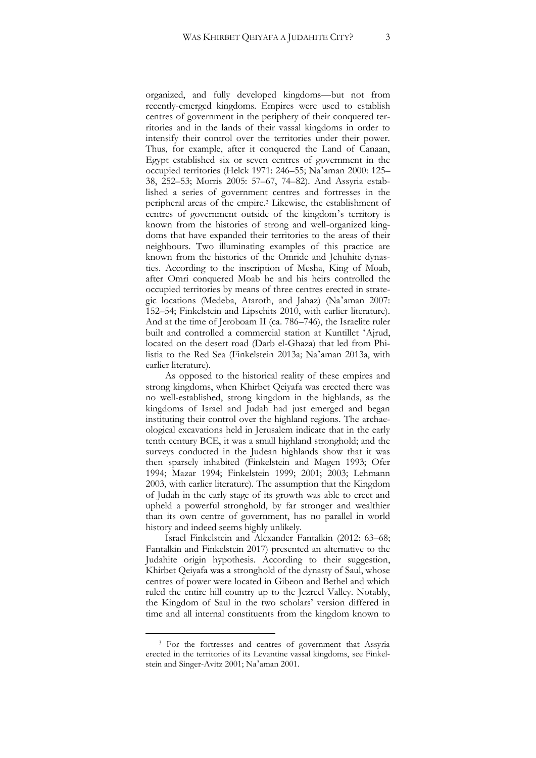organized, and fully developed kingdoms—but not from recently-emerged kingdoms. Empires were used to establish centres of government in the periphery of their conquered territories and in the lands of their vassal kingdoms in order to intensify their control over the territories under their power. Thus, for example, after it conquered the Land of Canaan, Egypt established six or seven centres of government in the occupied territories (Helck 1971: 246–55; Na'aman 2000: 125– 38, 252–53; Morris 2005: 57–67, 74–82). And Assyria established a series of government centres and fortresses in the peripheral areas of the empire.<sup>3</sup> Likewise, the establishment of centres of government outside of the kingdom's territory is known from the histories of strong and well-organized kingdoms that have expanded their territories to the areas of their neighbours. Two illuminating examples of this practice are known from the histories of the Omride and Jehuhite dynasties. According to the inscription of Mesha, King of Moab, after Omri conquered Moab he and his heirs controlled the occupied territories by means of three centres erected in strategic locations (Medeba, Ataroth, and Jahaz) (Na'aman 2007: 152–54; Finkelstein and Lipschits 2010, with earlier literature). And at the time of Jeroboam II (ca. 786–746), the Israelite ruler built and controlled a commercial station at Kuntillet ʻAjrud, located on the desert road (Darb el-Ghaza) that led from Philistia to the Red Sea (Finkelstein 2013a; Na'aman 2013a, with earlier literature).

As opposed to the historical reality of these empires and strong kingdoms, when Khirbet Qeiyafa was erected there was no well-established, strong kingdom in the highlands, as the kingdoms of Israel and Judah had just emerged and began instituting their control over the highland regions. The archaeological excavations held in Jerusalem indicate that in the early tenth century BCE, it was a small highland stronghold; and the surveys conducted in the Judean highlands show that it was then sparsely inhabited (Finkelstein and Magen 1993; Ofer 1994; Mazar 1994; Finkelstein 1999; 2001; 2003; Lehmann 2003, with earlier literature). The assumption that the Kingdom of Judah in the early stage of its growth was able to erect and upheld a powerful stronghold, by far stronger and wealthier than its own centre of government, has no parallel in world history and indeed seems highly unlikely.

Israel Finkelstein and Alexander Fantalkin (2012: 63–68; Fantalkin and Finkelstein 2017) presented an alternative to the Judahite origin hypothesis. According to their suggestion, Khirbet Qeiyafa was a stronghold of the dynasty of Saul, whose centres of power were located in Gibeon and Bethel and which ruled the entire hill country up to the Jezreel Valley. Notably, the Kingdom of Saul in the two scholars' version differed in time and all internal constituents from the kingdom known to

<sup>&</sup>lt;sup>3</sup> For the fortresses and centres of government that Assyria erected in the territories of its Levantine vassal kingdoms, see Finkelstein and Singer-Avitz 2001; Na'aman 2001.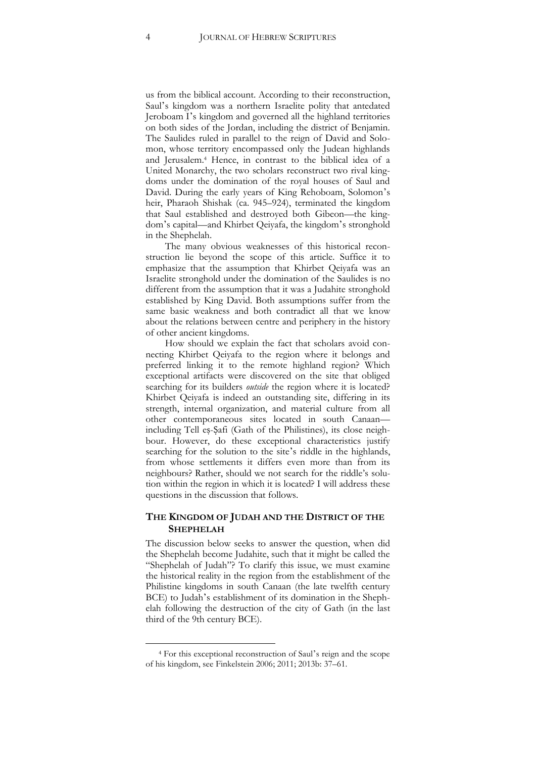us from the biblical account. According to their reconstruction, Saul's kingdom was a northern Israelite polity that antedated Jeroboam I's kingdom and governed all the highland territories on both sides of the Jordan, including the district of Benjamin. The Saulides ruled in parallel to the reign of David and Solomon, whose territory encompassed only the Judean highlands and Jerusalem.<sup>4</sup> Hence, in contrast to the biblical idea of a United Monarchy, the two scholars reconstruct two rival kingdoms under the domination of the royal houses of Saul and David. During the early years of King Rehoboam, Solomon's heir, Pharaoh Shishak (ca. 945–924), terminated the kingdom that Saul established and destroyed both Gibeon—the kingdom's capital—and Khirbet Qeiyafa, the kingdom's stronghold in the Shephelah.

The many obvious weaknesses of this historical reconstruction lie beyond the scope of this article. Suffice it to emphasize that the assumption that Khirbet Qeiyafa was an Israelite stronghold under the domination of the Saulides is no different from the assumption that it was a Judahite stronghold established by King David. Both assumptions suffer from the same basic weakness and both contradict all that we know about the relations between centre and periphery in the history of other ancient kingdoms.

How should we explain the fact that scholars avoid connecting Khirbet Qeiyafa to the region where it belongs and preferred linking it to the remote highland region? Which exceptional artifacts were discovered on the site that obliged searching for its builders *outside* the region where it is located? Khirbet Qeiyafa is indeed an outstanding site, differing in its strength, internal organization, and material culture from all other contemporaneous sites located in south Canaan including Tell eṣ-Ṣafi (Gath of the Philistines), its close neighbour. However, do these exceptional characteristics justify searching for the solution to the site's riddle in the highlands, from whose settlements it differs even more than from its neighbours? Rather, should we not search for the riddle's solution within the region in which it is located? I will address these questions in the discussion that follows.

#### **THE KINGDOM OF JUDAH AND THE DISTRICT OF THE SHEPHELAH**

The discussion below seeks to answer the question, when did the Shephelah become Judahite, such that it might be called the "Shephelah of Judah"? To clarify this issue, we must examine the historical reality in the region from the establishment of the Philistine kingdoms in south Canaan (the late twelfth century BCE) to Judah's establishment of its domination in the Shephelah following the destruction of the city of Gath (in the last third of the 9th century BCE).

<sup>4</sup> For this exceptional reconstruction of Saul's reign and the scope of his kingdom, see Finkelstein 2006; 2011; 2013b: 37–61.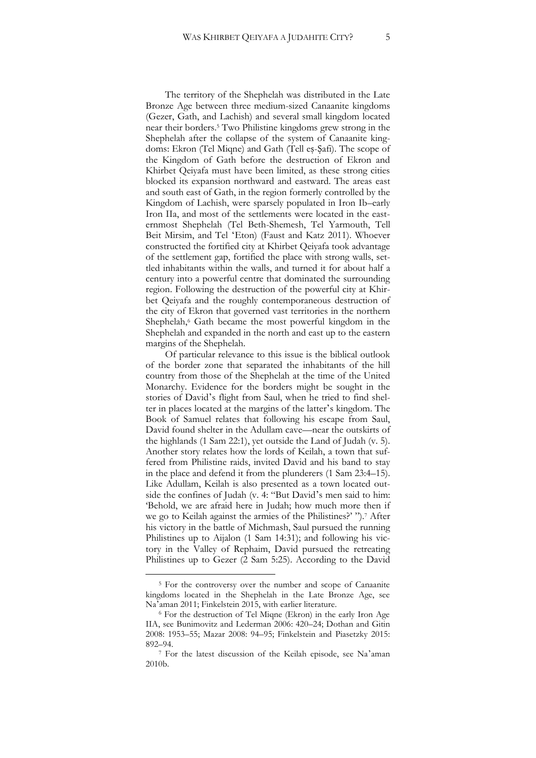The territory of the Shephelah was distributed in the Late Bronze Age between three medium-sized Canaanite kingdoms (Gezer, Gath, and Lachish) and several small kingdom located near their borders.<sup>5</sup> Two Philistine kingdoms grew strong in the Shephelah after the collapse of the system of Canaanite kingdoms: Ekron (Tel Miqne) and Gath (Tell eṣ-Ṣafi). The scope of the Kingdom of Gath before the destruction of Ekron and Khirbet Qeiyafa must have been limited, as these strong cities blocked its expansion northward and eastward. The areas east and south east of Gath, in the region formerly controlled by the Kingdom of Lachish, were sparsely populated in Iron Ib–early Iron IIa, and most of the settlements were located in the easternmost Shephelah (Tel Beth-Shemesh, Tel Yarmouth, Tell Beit Mirsim, and Tel ʻEton) (Faust and Katz 2011). Whoever constructed the fortified city at Khirbet Qeiyafa took advantage of the settlement gap, fortified the place with strong walls, settled inhabitants within the walls, and turned it for about half a century into a powerful centre that dominated the surrounding region. Following the destruction of the powerful city at Khirbet Qeiyafa and the roughly contemporaneous destruction of the city of Ekron that governed vast territories in the northern Shephelah,<sup>6</sup> Gath became the most powerful kingdom in the Shephelah and expanded in the north and east up to the eastern margins of the Shephelah.

Of particular relevance to this issue is the biblical outlook of the border zone that separated the inhabitants of the hill country from those of the Shephelah at the time of the United Monarchy. Evidence for the borders might be sought in the stories of David's flight from Saul, when he tried to find shelter in places located at the margins of the latter's kingdom. The Book of Samuel relates that following his escape from Saul, David found shelter in the Adullam cave—near the outskirts of the highlands (1 Sam 22:1), yet outside the Land of Judah (v. 5). Another story relates how the lords of Keilah, a town that suffered from Philistine raids, invited David and his band to stay in the place and defend it from the plunderers (1 Sam 23:4–15). Like Adullam, Keilah is also presented as a town located outside the confines of Judah (v. 4: "But David's men said to him: 'Behold, we are afraid here in Judah; how much more then if we go to Keilah against the armies of the Philistines?' ").<sup>7</sup> After his victory in the battle of Michmash, Saul pursued the running Philistines up to Aijalon (1 Sam 14:31); and following his victory in the Valley of Rephaim, David pursued the retreating Philistines up to Gezer (2 Sam 5:25). According to the David

<sup>5</sup> For the controversy over the number and scope of Canaanite kingdoms located in the Shephelah in the Late Bronze Age, see Na'aman 2011; Finkelstein 2015, with earlier literature.

<sup>6</sup> For the destruction of Tel Miqne (Ekron) in the early Iron Age IIA, see Bunimovitz and Lederman 2006: 420–24; Dothan and Gitin 2008: 1953–55; Mazar 2008: 94–95; Finkelstein and Piasetzky 2015: 892–94.

<sup>7</sup> For the latest discussion of the Keilah episode, see Na'aman 2010b.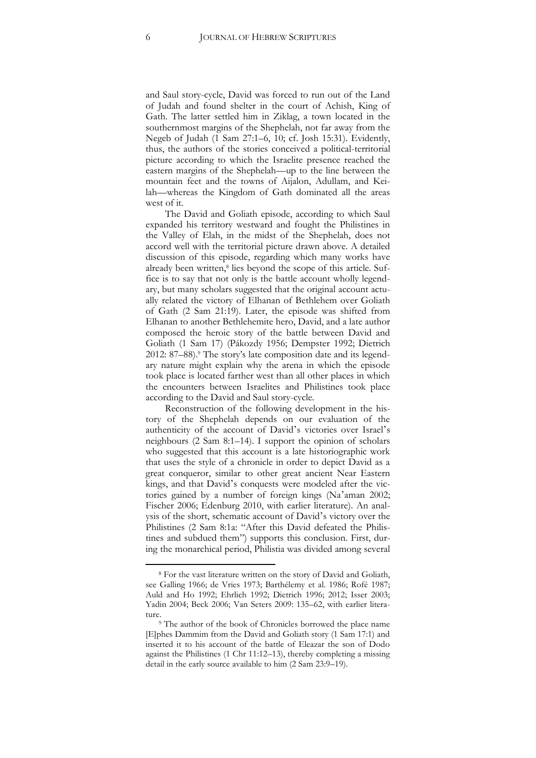and Saul story-cycle, David was forced to run out of the Land of Judah and found shelter in the court of Achish, King of Gath. The latter settled him in Ziklag, a town located in the southernmost margins of the Shephelah, not far away from the Negeb of Judah (1 Sam 27:1–6, 10; cf. Josh 15:31). Evidently, thus, the authors of the stories conceived a political-territorial picture according to which the Israelite presence reached the eastern margins of the Shephelah—up to the line between the mountain feet and the towns of Aijalon, Adullam, and Keilah—whereas the Kingdom of Gath dominated all the areas west of it.

The David and Goliath episode, according to which Saul expanded his territory westward and fought the Philistines in the Valley of Elah, in the midst of the Shephelah, does not accord well with the territorial picture drawn above. A detailed discussion of this episode, regarding which many works have already been written,<sup>8</sup> lies beyond the scope of this article. Suffice is to say that not only is the battle account wholly legendary, but many scholars suggested that the original account actually related the victory of Elhanan of Bethlehem over Goliath of Gath (2 Sam 21:19). Later, the episode was shifted from Elhanan to another Bethlehemite hero, David, and a late author composed the heroic story of the battle between David and Goliath (1 Sam 17) (Pákozdy 1956; Dempster 1992; Dietrich 2012: 87–88).<sup>9</sup> The story's late composition date and its legendary nature might explain why the arena in which the episode took place is located farther west than all other places in which the encounters between Israelites and Philistines took place according to the David and Saul story-cycle.

Reconstruction of the following development in the history of the Shephelah depends on our evaluation of the authenticity of the account of David's victories over Israel's neighbours (2 Sam 8:1–14). I support the opinion of scholars who suggested that this account is a late historiographic work that uses the style of a chronicle in order to depict David as a great conqueror, similar to other great ancient Near Eastern kings, and that David's conquests were modeled after the victories gained by a number of foreign kings (Na'aman 2002; Fischer 2006; Edenburg 2010, with earlier literature). An analysis of the short, schematic account of David's victory over the Philistines (2 Sam 8:1a: "After this David defeated the Philistines and subdued them") supports this conclusion. First, during the monarchical period, Philistia was divided among several

<sup>8</sup> For the vast literature written on the story of David and Goliath, see Galling 1966; de Vries 1973; Barthélemy et al. 1986; Rofé 1987; Auld and Ho 1992; Ehrlich 1992; Dietrich 1996; 2012; Isser 2003; Yadin 2004; Beck 2006; Van Seters 2009: 135–62, with earlier literature.

<sup>&</sup>lt;sup>9</sup> The author of the book of Chronicles borrowed the place name [E]phes Dammim from the David and Goliath story (1 Sam 17:1) and inserted it to his account of the battle of Eleazar the son of Dodo against the Philistines (1 Chr 11:12–13), thereby completing a missing detail in the early source available to him (2 Sam 23:9–19).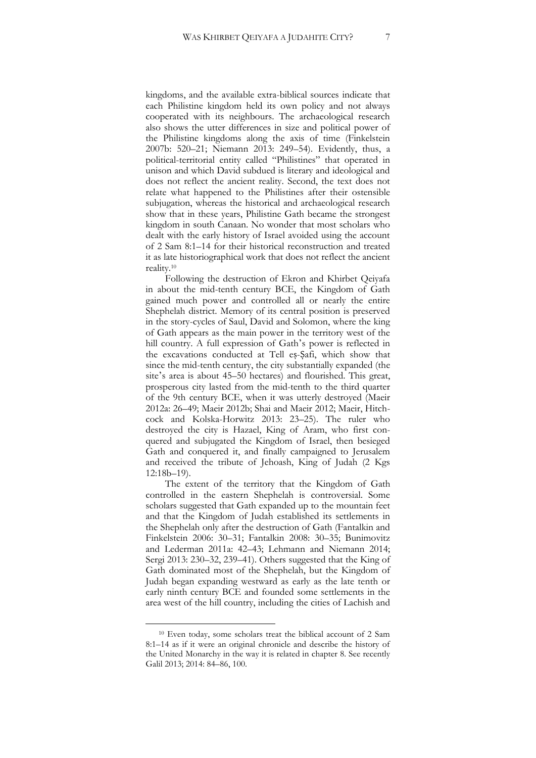kingdoms, and the available extra-biblical sources indicate that each Philistine kingdom held its own policy and not always cooperated with its neighbours. The archaeological research also shows the utter differences in size and political power of the Philistine kingdoms along the axis of time (Finkelstein 2007b: 520–21; Niemann 2013: 249–54). Evidently, thus, a political-territorial entity called "Philistines" that operated in unison and which David subdued is literary and ideological and does not reflect the ancient reality. Second, the text does not relate what happened to the Philistines after their ostensible subjugation, whereas the historical and archaeological research show that in these years, Philistine Gath became the strongest kingdom in south Canaan. No wonder that most scholars who dealt with the early history of Israel avoided using the account of 2 Sam 8:1–14 for their historical reconstruction and treated it as late historiographical work that does not reflect the ancient reality.<sup>10</sup>

Following the destruction of Ekron and Khirbet Qeiyafa in about the mid-tenth century BCE, the Kingdom of Gath gained much power and controlled all or nearly the entire Shephelah district. Memory of its central position is preserved in the story-cycles of Saul, David and Solomon, where the king of Gath appears as the main power in the territory west of the hill country. A full expression of Gath's power is reflected in the excavations conducted at Tell eṣ-Ṣafi, which show that since the mid-tenth century, the city substantially expanded (the site's area is about 45–50 hectares) and flourished. This great, prosperous city lasted from the mid-tenth to the third quarter of the 9th century BCE, when it was utterly destroyed (Maeir 2012a: 26–49; Maeir 2012b; Shai and Maeir 2012; Maeir, Hitchcock and Kolska-Horwitz 2013: 23–25). The ruler who destroyed the city is Hazael, King of Aram, who first conquered and subjugated the Kingdom of Israel, then besieged Gath and conquered it, and finally campaigned to Jerusalem and received the tribute of Jehoash, King of Judah (2 Kgs 12:18b–19).

The extent of the territory that the Kingdom of Gath controlled in the eastern Shephelah is controversial. Some scholars suggested that Gath expanded up to the mountain feet and that the Kingdom of Judah established its settlements in the Shephelah only after the destruction of Gath (Fantalkin and Finkelstein 2006: 30–31; Fantalkin 2008: 30–35; Bunimovitz and Lederman 2011a: 42–43; Lehmann and Niemann 2014; Sergi 2013: 230–32, 239–41). Others suggested that the King of Gath dominated most of the Shephelah, but the Kingdom of Judah began expanding westward as early as the late tenth or early ninth century BCE and founded some settlements in the area west of the hill country, including the cities of Lachish and

<sup>10</sup> Even today, some scholars treat the biblical account of 2 Sam 8:1–14 as if it were an original chronicle and describe the history of the United Monarchy in the way it is related in chapter 8. See recently Galil 2013; 2014: 84–86, 100.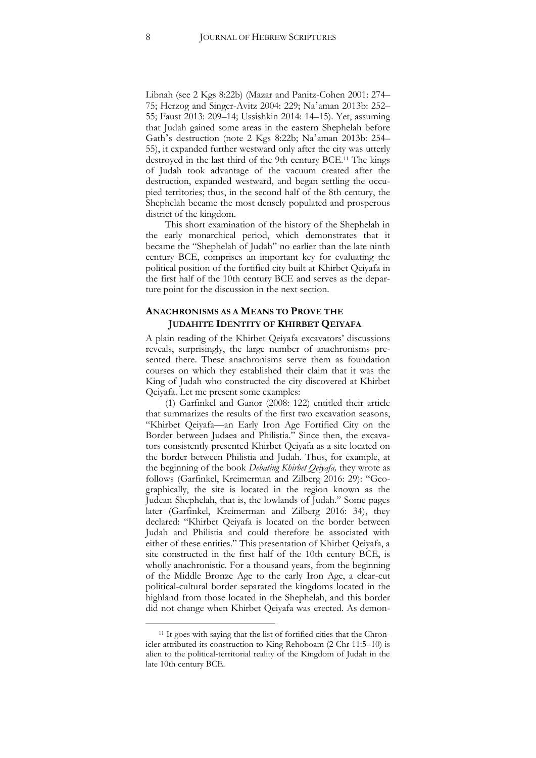Libnah (see 2 Kgs 8:22b) (Mazar and Panitz-Cohen 2001: 274– 75; Herzog and Singer-Avitz 2004: 229; Na'aman 2013b: 252– 55; Faust 2013: 209–14; Ussishkin 2014: 14–15). Yet, assuming that Judah gained some areas in the eastern Shephelah before Gath's destruction (note 2 Kgs 8:22b; Na'aman 2013b: 254– 55), it expanded further westward only after the city was utterly destroyed in the last third of the 9th century BCE.<sup>11</sup> The kings of Judah took advantage of the vacuum created after the destruction, expanded westward, and began settling the occupied territories; thus, in the second half of the 8th century, the Shephelah became the most densely populated and prosperous district of the kingdom.

This short examination of the history of the Shephelah in the early monarchical period, which demonstrates that it became the "Shephelah of Judah" no earlier than the late ninth century BCE, comprises an important key for evaluating the political position of the fortified city built at Khirbet Qeiyafa in the first half of the 10th century BCE and serves as the departure point for the discussion in the next section.

#### **ANACHRONISMS AS A MEANS TO PROVE THE JUDAHITE IDENTITY OF KHIRBET QEIYAFA**

A plain reading of the Khirbet Qeiyafa excavators' discussions reveals, surprisingly, the large number of anachronisms presented there. These anachronisms serve them as foundation courses on which they established their claim that it was the King of Judah who constructed the city discovered at Khirbet Qeiyafa. Let me present some examples:

(1) Garfinkel and Ganor (2008: 122) entitled their article that summarizes the results of the first two excavation seasons, "Khirbet Qeiyafa—an Early Iron Age Fortified City on the Border between Judaea and Philistia." Since then, the excavators consistently presented Khirbet Qeiyafa as a site located on the border between Philistia and Judah. Thus, for example, at the beginning of the book *Debating Khirbet Qeiyafa,* they wrote as follows (Garfinkel, Kreimerman and Zilberg 2016: 29): "Geographically, the site is located in the region known as the Judean Shephelah, that is, the lowlands of Judah." Some pages later (Garfinkel, Kreimerman and Zilberg 2016: 34), they declared: "Khirbet Qeiyafa is located on the border between Judah and Philistia and could therefore be associated with either of these entities." This presentation of Khirbet Qeiyafa, a site constructed in the first half of the 10th century BCE, is wholly anachronistic. For a thousand years, from the beginning of the Middle Bronze Age to the early Iron Age, a clear-cut political-cultural border separated the kingdoms located in the highland from those located in the Shephelah, and this border did not change when Khirbet Qeiyafa was erected. As demon-

<sup>&</sup>lt;sup>11</sup> It goes with saying that the list of fortified cities that the Chronicler attributed its construction to King Rehoboam (2 Chr 11:5–10) is alien to the political-territorial reality of the Kingdom of Judah in the late 10th century BCE.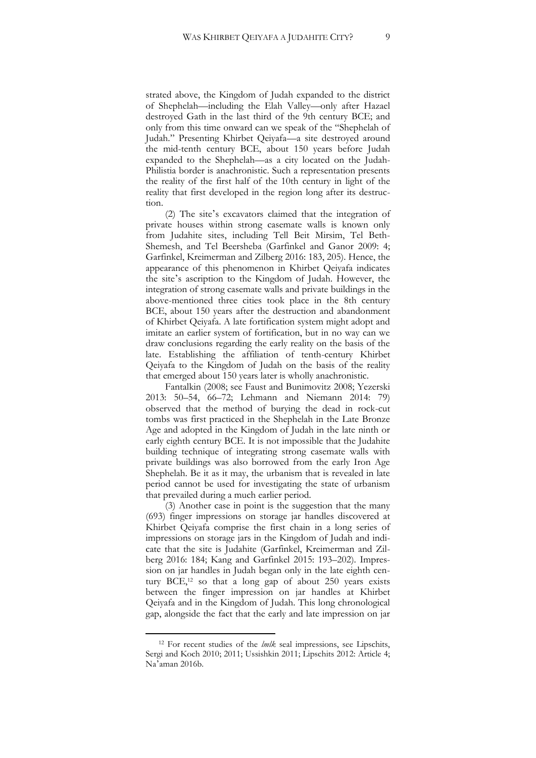strated above, the Kingdom of Judah expanded to the district of Shephelah—including the Elah Valley—only after Hazael destroyed Gath in the last third of the 9th century BCE; and only from this time onward can we speak of the "Shephelah of Judah." Presenting Khirbet Qeiyafa—a site destroyed around the mid-tenth century BCE, about 150 years before Judah expanded to the Shephelah—as a city located on the Judah-Philistia border is anachronistic. Such a representation presents the reality of the first half of the 10th century in light of the reality that first developed in the region long after its destruction.

(2) The site's excavators claimed that the integration of private houses within strong casemate walls is known only from Judahite sites, including Tell Beit Mirsim, Tel Beth-Shemesh, and Tel Beersheba (Garfinkel and Ganor 2009: 4; Garfinkel, Kreimerman and Zilberg 2016: 183, 205). Hence, the appearance of this phenomenon in Khirbet Qeiyafa indicates the site's ascription to the Kingdom of Judah. However, the integration of strong casemate walls and private buildings in the above-mentioned three cities took place in the 8th century BCE, about 150 years after the destruction and abandonment of Khirbet Qeiyafa. A late fortification system might adopt and imitate an earlier system of fortification, but in no way can we draw conclusions regarding the early reality on the basis of the late. Establishing the affiliation of tenth-century Khirbet Qeiyafa to the Kingdom of Judah on the basis of the reality that emerged about 150 years later is wholly anachronistic.

Fantalkin (2008; see Faust and Bunimovitz 2008; Yezerski 2013: 50–54, 66–72; Lehmann and Niemann 2014: 79) observed that the method of burying the dead in rock-cut tombs was first practiced in the Shephelah in the Late Bronze Age and adopted in the Kingdom of Judah in the late ninth or early eighth century BCE. It is not impossible that the Judahite building technique of integrating strong casemate walls with private buildings was also borrowed from the early Iron Age Shephelah. Be it as it may, the urbanism that is revealed in late period cannot be used for investigating the state of urbanism that prevailed during a much earlier period.

(3) Another case in point is the suggestion that the many (693) finger impressions on storage jar handles discovered at Khirbet Qeiyafa comprise the first chain in a long series of impressions on storage jars in the Kingdom of Judah and indicate that the site is Judahite (Garfinkel, Kreimerman and Zilberg 2016: 184; Kang and Garfinkel 2015: 193–202). Impression on jar handles in Judah began only in the late eighth century  $BCE$ ,<sup>12</sup> so that a long gap of about 250 years exists between the finger impression on jar handles at Khirbet Qeiyafa and in the Kingdom of Judah. This long chronological gap, alongside the fact that the early and late impression on jar

<sup>12</sup> For recent studies of the *lmlk* seal impressions, see Lipschits, Sergi and Koch 2010; 2011; Ussishkin 2011; Lipschits 2012: Article 4; Na'aman 2016b.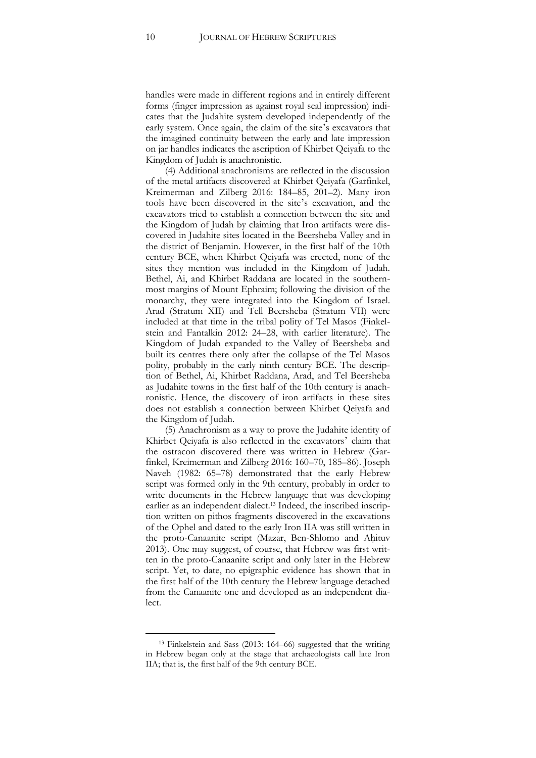handles were made in different regions and in entirely different forms (finger impression as against royal seal impression) indicates that the Judahite system developed independently of the early system. Once again, the claim of the site's excavators that the imagined continuity between the early and late impression on jar handles indicates the ascription of Khirbet Qeiyafa to the Kingdom of Judah is anachronistic.

(4) Additional anachronisms are reflected in the discussion of the metal artifacts discovered at Khirbet Qeiyafa (Garfinkel, Kreimerman and Zilberg 2016: 184–85, 201–2). Many iron tools have been discovered in the site's excavation, and the excavators tried to establish a connection between the site and the Kingdom of Judah by claiming that Iron artifacts were discovered in Judahite sites located in the Beersheba Valley and in the district of Benjamin. However, in the first half of the 10th century BCE, when Khirbet Qeiyafa was erected, none of the sites they mention was included in the Kingdom of Judah. Bethel, Ai, and Khirbet Raddana are located in the southernmost margins of Mount Ephraim; following the division of the monarchy, they were integrated into the Kingdom of Israel. Arad (Stratum XII) and Tell Beersheba (Stratum VII) were included at that time in the tribal polity of Tel Masos (Finkelstein and Fantalkin 2012: 24–28, with earlier literature). The Kingdom of Judah expanded to the Valley of Beersheba and built its centres there only after the collapse of the Tel Masos polity, probably in the early ninth century BCE. The description of Bethel, Ai, Khirbet Raddana, Arad, and Tel Beersheba as Judahite towns in the first half of the 10th century is anachronistic. Hence, the discovery of iron artifacts in these sites does not establish a connection between Khirbet Qeiyafa and the Kingdom of Judah.

(5) Anachronism as a way to prove the Judahite identity of Khirbet Qeiyafa is also reflected in the excavators' claim that the ostracon discovered there was written in Hebrew (Garfinkel, Kreimerman and Zilberg 2016: 160–70, 185–86). Joseph Naveh (1982: 65–78) demonstrated that the early Hebrew script was formed only in the 9th century, probably in order to write documents in the Hebrew language that was developing earlier as an independent dialect.<sup>13</sup> Indeed, the inscribed inscription written on pithos fragments discovered in the excavations of the Ophel and dated to the early Iron IIA was still written in the proto-Canaanite script (Mazar, Ben-Shlomo and Aḥituv 2013). One may suggest, of course, that Hebrew was first written in the proto-Canaanite script and only later in the Hebrew script. Yet, to date, no epigraphic evidence has shown that in the first half of the 10th century the Hebrew language detached from the Canaanite one and developed as an independent dialect.

<sup>13</sup> Finkelstein and Sass (2013: 164–66) suggested that the writing in Hebrew began only at the stage that archaeologists call late Iron IIA; that is, the first half of the 9th century BCE.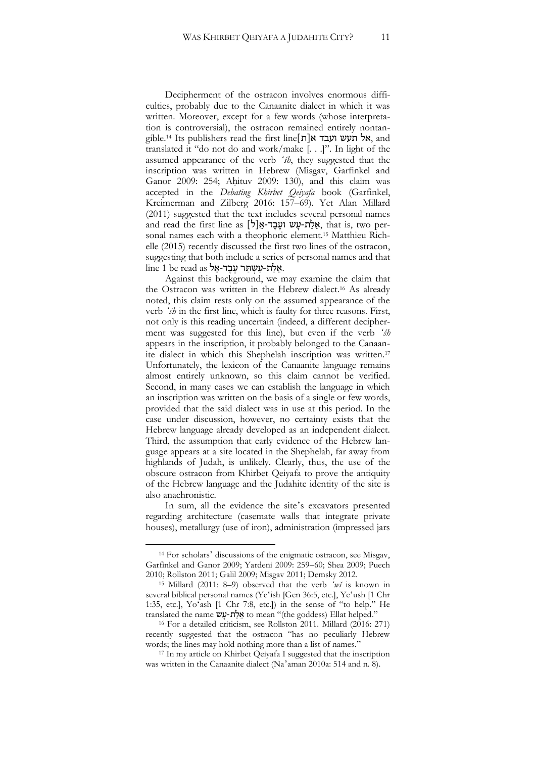Decipherment of the ostracon involves enormous difficulties, probably due to the Canaanite dialect in which it was written. Moreover, except for a few words (whose interpretation is controversial), the ostracon remained entirely nontangible.<sup>14</sup> Its publishers read the first line $\lceil n \rceil$ אל תעש ועבד א $\kappa$ , and translated it "do not do and work/make [. . .]". In light of the assumed appearance of the verb *ʻśh*, they suggested that the inscription was written in Hebrew (Misgav, Garfinkel and Ganor 2009: 254; Aḥituv 2009: 130), and this claim was accepted in the *Debating Khirbet Qeiyafa* book (Garfinkel, Kreimerman and Zilberg 2016: 157–69). Yet Alan Millard (2011) suggested that the text includes several personal names and read the first line as  $[5]$ אלת-עש ועבד-א $\chi$ , that is, two personal names each with a theophoric element.<sup>15</sup> Matthieu Richelle (2015) recently discussed the first two lines of the ostracon, suggesting that both include a series of personal names and that  $\ln 1$  he read as אלת-עשתר עבד-אל.

Against this background, we may examine the claim that the Ostracon was written in the Hebrew dialect.<sup>16</sup> As already noted, this claim rests only on the assumed appearance of the verb *ʻśh* in the first line, which is faulty for three reasons. First, not only is this reading uncertain (indeed, a different decipherment was suggested for this line), but even if the verb *ʻśh* appears in the inscription, it probably belonged to the Canaanite dialect in which this Shephelah inscription was written.<sup>17</sup> Unfortunately, the lexicon of the Canaanite language remains almost entirely unknown, so this claim cannot be verified. Second, in many cases we can establish the language in which an inscription was written on the basis of a single or few words, provided that the said dialect was in use at this period. In the case under discussion, however, no certainty exists that the Hebrew language already developed as an independent dialect. Third, the assumption that early evidence of the Hebrew language appears at a site located in the Shephelah, far away from highlands of Judah, is unlikely. Clearly, thus, the use of the obscure ostracon from Khirbet Qeiyafa to prove the antiquity of the Hebrew language and the Judahite identity of the site is also anachronistic.

In sum, all the evidence the site's excavators presented regarding architecture (casemate walls that integrate private houses), metallurgy (use of iron), administration (impressed jars

<sup>14</sup> For scholars' discussions of the enigmatic ostracon, see Misgav, Garfinkel and Ganor 2009; Yardeni 2009: 259–60; Shea 2009; Puech 2010; Rollston 2011; Galil 2009; Misgav 2011; Demsky 2012.

<sup>15</sup> Millard (2011: 8–9) observed that the verb *ʻwš* is known in several biblical personal names (Yeʻish [Gen 36:5, etc.], Yeʻush [1 Chr 1:35, etc.], Yoʻash [1 Chr 7:8, etc.]) in the sense of "to help." He translated the name אֲלָת-עֲשׁ to mean "(the goddess) Ellat helped."

<sup>16</sup> For a detailed criticism, see Rollston 2011. Millard (2016: 271) recently suggested that the ostracon "has no peculiarly Hebrew words; the lines may hold nothing more than a list of names."

<sup>&</sup>lt;sup>17</sup> In my article on Khirbet Qeiyafa I suggested that the inscription was written in the Canaanite dialect (Na'aman 2010a: 514 and n. 8).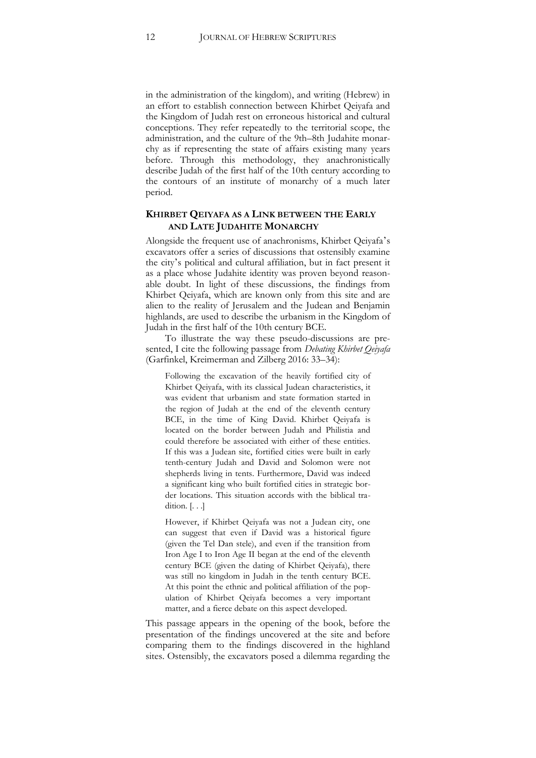in the administration of the kingdom), and writing (Hebrew) in an effort to establish connection between Khirbet Qeiyafa and the Kingdom of Judah rest on erroneous historical and cultural conceptions. They refer repeatedly to the territorial scope, the administration, and the culture of the 9th–8th Judahite monarchy as if representing the state of affairs existing many years before. Through this methodology, they anachronistically describe Judah of the first half of the 10th century according to the contours of an institute of monarchy of a much later period.

#### **KHIRBET QEIYAFA AS A LINK BETWEEN THE EARLY AND LATE JUDAHITE MONARCHY**

Alongside the frequent use of anachronisms, Khirbet Qeiyafa's excavators offer a series of discussions that ostensibly examine the city's political and cultural affiliation, but in fact present it as a place whose Judahite identity was proven beyond reasonable doubt. In light of these discussions, the findings from Khirbet Qeiyafa, which are known only from this site and are alien to the reality of Jerusalem and the Judean and Benjamin highlands, are used to describe the urbanism in the Kingdom of Judah in the first half of the 10th century BCE.

To illustrate the way these pseudo-discussions are presented, I cite the following passage from *Debating Khirbet Qeiyafa* (Garfinkel, Kreimerman and Zilberg 2016: 33–34):

Following the excavation of the heavily fortified city of Khirbet Qeiyafa, with its classical Judean characteristics, it was evident that urbanism and state formation started in the region of Judah at the end of the eleventh century BCE, in the time of King David. Khirbet Qeiyafa is located on the border between Judah and Philistia and could therefore be associated with either of these entities. If this was a Judean site, fortified cities were built in early tenth-century Judah and David and Solomon were not shepherds living in tents. Furthermore, David was indeed a significant king who built fortified cities in strategic border locations. This situation accords with the biblical tradition. [. . .]

However, if Khirbet Qeiyafa was not a Judean city, one can suggest that even if David was a historical figure (given the Tel Dan stele), and even if the transition from Iron Age I to Iron Age II began at the end of the eleventh century BCE (given the dating of Khirbet Qeiyafa), there was still no kingdom in Judah in the tenth century BCE. At this point the ethnic and political affiliation of the population of Khirbet Qeiyafa becomes a very important matter, and a fierce debate on this aspect developed.

This passage appears in the opening of the book, before the presentation of the findings uncovered at the site and before comparing them to the findings discovered in the highland sites. Ostensibly, the excavators posed a dilemma regarding the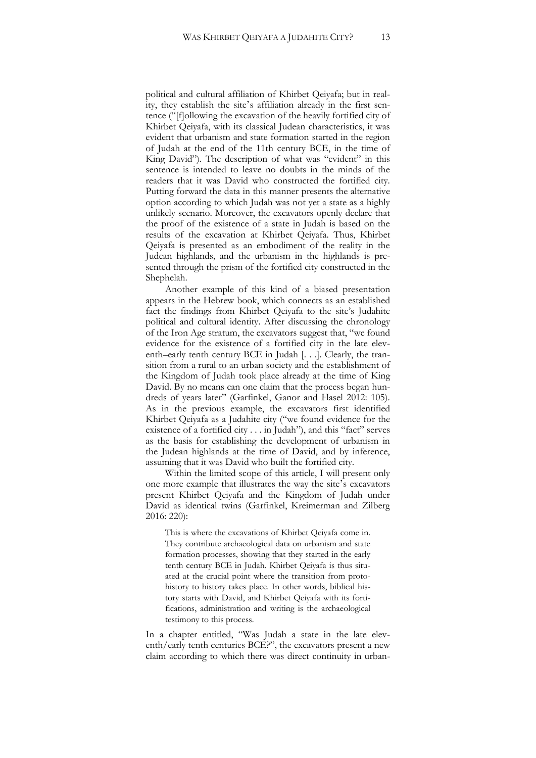political and cultural affiliation of Khirbet Qeiyafa; but in reality, they establish the site's affiliation already in the first sentence ("[f]ollowing the excavation of the heavily fortified city of Khirbet Qeiyafa, with its classical Judean characteristics, it was evident that urbanism and state formation started in the region of Judah at the end of the 11th century BCE, in the time of King David"). The description of what was "evident" in this sentence is intended to leave no doubts in the minds of the readers that it was David who constructed the fortified city. Putting forward the data in this manner presents the alternative option according to which Judah was not yet a state as a highly unlikely scenario. Moreover, the excavators openly declare that the proof of the existence of a state in Judah is based on the results of the excavation at Khirbet Qeiyafa. Thus, Khirbet Qeiyafa is presented as an embodiment of the reality in the Judean highlands, and the urbanism in the highlands is presented through the prism of the fortified city constructed in the Shephelah.

Another example of this kind of a biased presentation appears in the Hebrew book, which connects as an established fact the findings from Khirbet Qeiyafa to the site's Judahite political and cultural identity. After discussing the chronology of the Iron Age stratum, the excavators suggest that, "we found evidence for the existence of a fortified city in the late eleventh–early tenth century BCE in Judah [. . .]. Clearly, the transition from a rural to an urban society and the establishment of the Kingdom of Judah took place already at the time of King David. By no means can one claim that the process began hundreds of years later" (Garfinkel, Ganor and Hasel 2012: 105). As in the previous example, the excavators first identified Khirbet Qeiyafa as a Judahite city ("we found evidence for the existence of a fortified city . . . in Judah"), and this "fact" serves as the basis for establishing the development of urbanism in the Judean highlands at the time of David, and by inference, assuming that it was David who built the fortified city.

Within the limited scope of this article, I will present only one more example that illustrates the way the site's excavators present Khirbet Qeiyafa and the Kingdom of Judah under David as identical twins (Garfinkel, Kreimerman and Zilberg 2016: 220):

This is where the excavations of Khirbet Qeiyafa come in. They contribute archaeological data on urbanism and state formation processes, showing that they started in the early tenth century BCE in Judah. Khirbet Qeiyafa is thus situated at the crucial point where the transition from protohistory to history takes place. In other words, biblical history starts with David, and Khirbet Qeiyafa with its fortifications, administration and writing is the archaeological testimony to this process.

In a chapter entitled, "Was Judah a state in the late eleventh/early tenth centuries BCE?", the excavators present a new claim according to which there was direct continuity in urban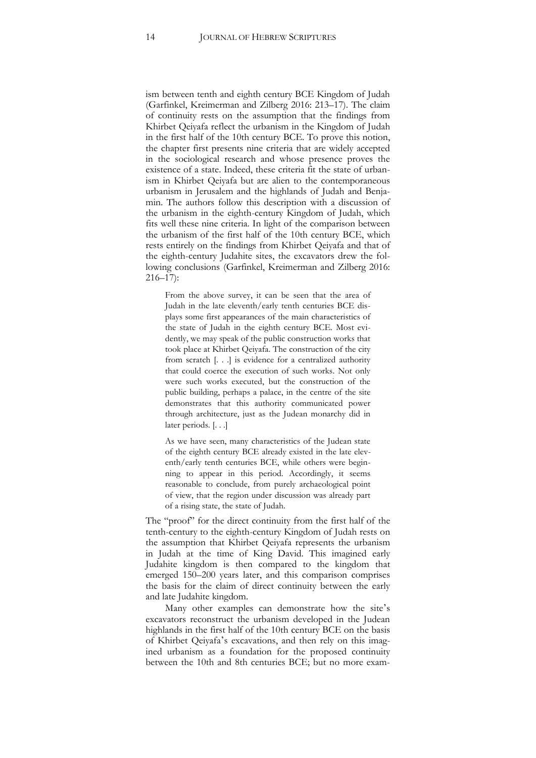ism between tenth and eighth century BCE Kingdom of Judah (Garfinkel, Kreimerman and Zilberg 2016: 213–17). The claim of continuity rests on the assumption that the findings from Khirbet Qeiyafa reflect the urbanism in the Kingdom of Judah in the first half of the 10th century BCE. To prove this notion, the chapter first presents nine criteria that are widely accepted in the sociological research and whose presence proves the existence of a state. Indeed, these criteria fit the state of urbanism in Khirbet Qeiyafa but are alien to the contemporaneous urbanism in Jerusalem and the highlands of Judah and Benjamin. The authors follow this description with a discussion of the urbanism in the eighth-century Kingdom of Judah, which fits well these nine criteria. In light of the comparison between the urbanism of the first half of the 10th century BCE, which rests entirely on the findings from Khirbet Qeiyafa and that of the eighth-century Judahite sites, the excavators drew the following conclusions (Garfinkel, Kreimerman and Zilberg 2016: 216–17):

From the above survey, it can be seen that the area of Judah in the late eleventh/early tenth centuries BCE displays some first appearances of the main characteristics of the state of Judah in the eighth century BCE. Most evidently, we may speak of the public construction works that took place at Khirbet Qeiyafa. The construction of the city from scratch [. . .] is evidence for a centralized authority that could coerce the execution of such works. Not only were such works executed, but the construction of the public building, perhaps a palace, in the centre of the site demonstrates that this authority communicated power through architecture, just as the Judean monarchy did in later periods. [. . .]

As we have seen, many characteristics of the Judean state of the eighth century BCE already existed in the late eleventh/early tenth centuries BCE, while others were beginning to appear in this period. Accordingly, it seems reasonable to conclude, from purely archaeological point of view, that the region under discussion was already part of a rising state, the state of Judah.

The "proof" for the direct continuity from the first half of the tenth-century to the eighth-century Kingdom of Judah rests on the assumption that Khirbet Qeiyafa represents the urbanism in Judah at the time of King David. This imagined early Judahite kingdom is then compared to the kingdom that emerged 150–200 years later, and this comparison comprises the basis for the claim of direct continuity between the early and late Judahite kingdom.

Many other examples can demonstrate how the site's excavators reconstruct the urbanism developed in the Judean highlands in the first half of the 10th century BCE on the basis of Khirbet Qeiyafa's excavations, and then rely on this imagined urbanism as a foundation for the proposed continuity between the 10th and 8th centuries BCE; but no more exam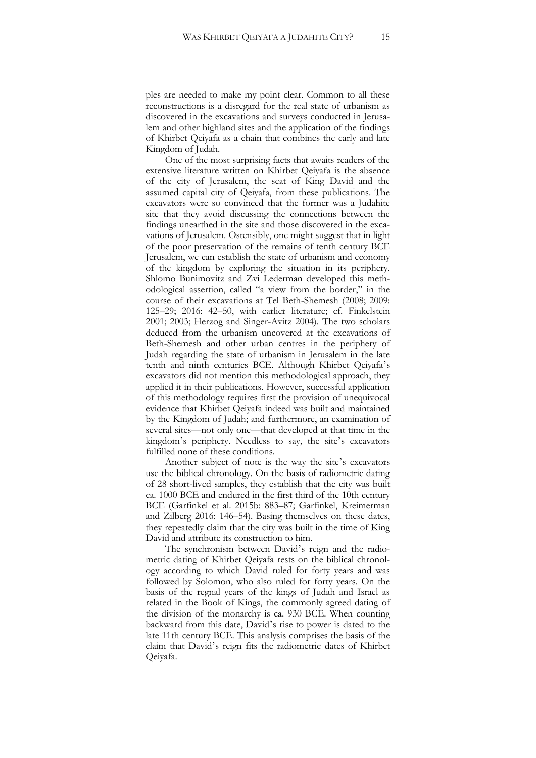ples are needed to make my point clear. Common to all these reconstructions is a disregard for the real state of urbanism as discovered in the excavations and surveys conducted in Jerusalem and other highland sites and the application of the findings of Khirbet Qeiyafa as a chain that combines the early and late Kingdom of Judah.

One of the most surprising facts that awaits readers of the extensive literature written on Khirbet Qeiyafa is the absence of the city of Jerusalem, the seat of King David and the assumed capital city of Qeiyafa, from these publications. The excavators were so convinced that the former was a Judahite site that they avoid discussing the connections between the findings unearthed in the site and those discovered in the excavations of Jerusalem. Ostensibly, one might suggest that in light of the poor preservation of the remains of tenth century BCE Jerusalem, we can establish the state of urbanism and economy of the kingdom by exploring the situation in its periphery. Shlomo Bunimovitz and Zvi Lederman developed this methodological assertion, called "a view from the border," in the course of their excavations at Tel Beth-Shemesh (2008; 2009: 125–29; 2016: 42–50, with earlier literature; cf. Finkelstein 2001; 2003; Herzog and Singer-Avitz 2004). The two scholars deduced from the urbanism uncovered at the excavations of Beth-Shemesh and other urban centres in the periphery of Judah regarding the state of urbanism in Jerusalem in the late tenth and ninth centuries BCE. Although Khirbet Qeiyafa's excavators did not mention this methodological approach, they applied it in their publications. However, successful application of this methodology requires first the provision of unequivocal evidence that Khirbet Qeiyafa indeed was built and maintained by the Kingdom of Judah; and furthermore, an examination of several sites—not only one—that developed at that time in the kingdom's periphery. Needless to say, the site's excavators fulfilled none of these conditions.

Another subject of note is the way the site's excavators use the biblical chronology. On the basis of radiometric dating of 28 short-lived samples, they establish that the city was built ca. 1000 BCE and endured in the first third of the 10th century BCE (Garfinkel et al. 2015b: 883–87; Garfinkel, Kreimerman and Zilberg 2016: 146–54). Basing themselves on these dates, they repeatedly claim that the city was built in the time of King David and attribute its construction to him.

The synchronism between David's reign and the radiometric dating of Khirbet Qeiyafa rests on the biblical chronology according to which David ruled for forty years and was followed by Solomon, who also ruled for forty years. On the basis of the regnal years of the kings of Judah and Israel as related in the Book of Kings, the commonly agreed dating of the division of the monarchy is ca. 930 BCE. When counting backward from this date, David's rise to power is dated to the late 11th century BCE. This analysis comprises the basis of the claim that David's reign fits the radiometric dates of Khirbet Qeiyafa.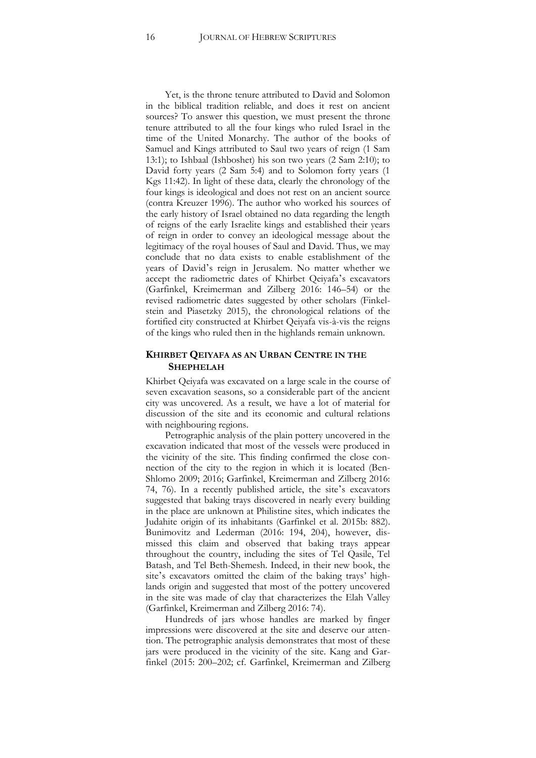Yet, is the throne tenure attributed to David and Solomon in the biblical tradition reliable, and does it rest on ancient sources? To answer this question, we must present the throne tenure attributed to all the four kings who ruled Israel in the time of the United Monarchy. The author of the books of Samuel and Kings attributed to Saul two years of reign (1 Sam 13:1); to Ishbaal (Ishboshet) his son two years (2 Sam 2:10); to David forty years (2 Sam 5:4) and to Solomon forty years (1 Kgs 11:42). In light of these data, clearly the chronology of the four kings is ideological and does not rest on an ancient source (contra Kreuzer 1996). The author who worked his sources of the early history of Israel obtained no data regarding the length of reigns of the early Israelite kings and established their years of reign in order to convey an ideological message about the legitimacy of the royal houses of Saul and David. Thus, we may conclude that no data exists to enable establishment of the years of David's reign in Jerusalem. No matter whether we accept the radiometric dates of Khirbet Qeiyafa's excavators (Garfinkel, Kreimerman and Zilberg 2016: 146–54) or the revised radiometric dates suggested by other scholars (Finkelstein and Piasetzky 2015), the chronological relations of the fortified city constructed at Khirbet Qeiyafa vis-à-vis the reigns of the kings who ruled then in the highlands remain unknown.

#### **KHIRBET QEIYAFA AS AN URBAN CENTRE IN THE SHEPHELAH**

Khirbet Qeiyafa was excavated on a large scale in the course of seven excavation seasons, so a considerable part of the ancient city was uncovered. As a result, we have a lot of material for discussion of the site and its economic and cultural relations with neighbouring regions.

Petrographic analysis of the plain pottery uncovered in the excavation indicated that most of the vessels were produced in the vicinity of the site. This finding confirmed the close connection of the city to the region in which it is located (Ben-Shlomo 2009; 2016; Garfinkel, Kreimerman and Zilberg 2016: 74, 76). In a recently published article, the site's excavators suggested that baking trays discovered in nearly every building in the place are unknown at Philistine sites, which indicates the Judahite origin of its inhabitants (Garfinkel et al. 2015b: 882). Bunimovitz and Lederman (2016: 194, 204), however, dismissed this claim and observed that baking trays appear throughout the country, including the sites of Tel Qasile, Tel Batash, and Tel Beth-Shemesh. Indeed, in their new book, the site's excavators omitted the claim of the baking trays' highlands origin and suggested that most of the pottery uncovered in the site was made of clay that characterizes the Elah Valley (Garfinkel, Kreimerman and Zilberg 2016: 74).

Hundreds of jars whose handles are marked by finger impressions were discovered at the site and deserve our attention. The petrographic analysis demonstrates that most of these jars were produced in the vicinity of the site. Kang and Garfinkel (2015: 200–202; cf. Garfinkel, Kreimerman and Zilberg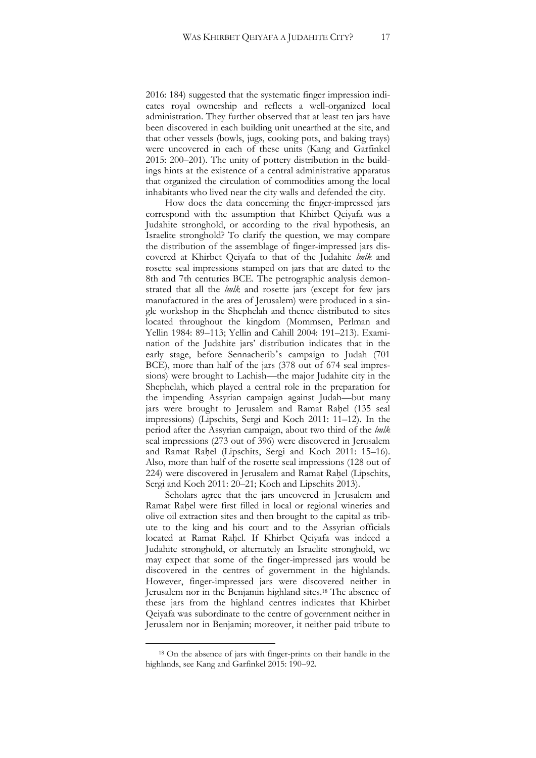2016: 184) suggested that the systematic finger impression indicates royal ownership and reflects a well-organized local administration. They further observed that at least ten jars have been discovered in each building unit unearthed at the site, and that other vessels (bowls, jugs, cooking pots, and baking trays) were uncovered in each of these units (Kang and Garfinkel 2015: 200–201). The unity of pottery distribution in the buildings hints at the existence of a central administrative apparatus that organized the circulation of commodities among the local inhabitants who lived near the city walls and defended the city.

How does the data concerning the finger-impressed jars correspond with the assumption that Khirbet Qeiyafa was a Judahite stronghold, or according to the rival hypothesis, an Israelite stronghold? To clarify the question, we may compare the distribution of the assemblage of finger-impressed jars discovered at Khirbet Qeiyafa to that of the Judahite *lmlk* and rosette seal impressions stamped on jars that are dated to the 8th and 7th centuries BCE. The petrographic analysis demonstrated that all the *lmlk* and rosette jars (except for few jars manufactured in the area of Jerusalem) were produced in a single workshop in the Shephelah and thence distributed to sites located throughout the kingdom (Mommsen, Perlman and Yellin 1984: 89–113; Yellin and Cahill 2004: 191–213). Examination of the Judahite jars' distribution indicates that in the early stage, before Sennacherib's campaign to Judah (701 BCE), more than half of the jars (378 out of 674 seal impressions) were brought to Lachish—the major Judahite city in the Shephelah, which played a central role in the preparation for the impending Assyrian campaign against Judah—but many jars were brought to Jerusalem and Ramat Raḥel (135 seal impressions) (Lipschits, Sergi and Koch 2011: 11–12). In the period after the Assyrian campaign, about two third of the *lmlk* seal impressions (273 out of 396) were discovered in Jerusalem and Ramat Rahel (Lipschits, Sergi and Koch 2011: 15–16). Also, more than half of the rosette seal impressions (128 out of 224) were discovered in Jerusalem and Ramat Rahel (Lipschits, Sergi and Koch 2011: 20–21; Koch and Lipschits 2013).

Scholars agree that the jars uncovered in Jerusalem and Ramat Raḥel were first filled in local or regional wineries and olive oil extraction sites and then brought to the capital as tribute to the king and his court and to the Assyrian officials located at Ramat Rahel. If Khirbet Qeiyafa was indeed a Judahite stronghold, or alternately an Israelite stronghold, we may expect that some of the finger-impressed jars would be discovered in the centres of government in the highlands. However, finger-impressed jars were discovered neither in Jerusalem nor in the Benjamin highland sites.<sup>18</sup> The absence of these jars from the highland centres indicates that Khirbet Qeiyafa was subordinate to the centre of government neither in Jerusalem nor in Benjamin; moreover, it neither paid tribute to

<sup>18</sup> On the absence of jars with finger-prints on their handle in the highlands, see Kang and Garfinkel 2015: 190–92.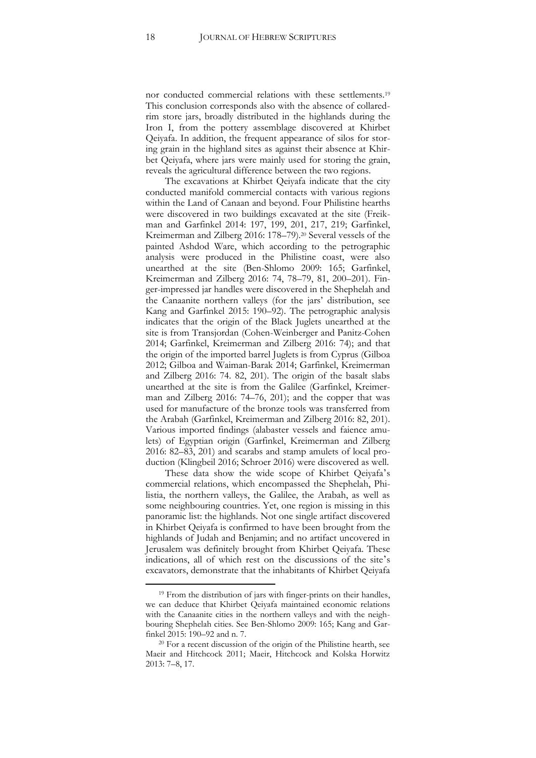nor conducted commercial relations with these settlements.<sup>19</sup> This conclusion corresponds also with the absence of collaredrim store jars, broadly distributed in the highlands during the Iron I, from the pottery assemblage discovered at Khirbet Qeiyafa. In addition, the frequent appearance of silos for storing grain in the highland sites as against their absence at Khirbet Qeiyafa, where jars were mainly used for storing the grain, reveals the agricultural difference between the two regions.

The excavations at Khirbet Qeiyafa indicate that the city conducted manifold commercial contacts with various regions within the Land of Canaan and beyond. Four Philistine hearths were discovered in two buildings excavated at the site (Freikman and Garfinkel 2014: 197, 199, 201, 217, 219; Garfinkel, Kreimerman and Zilberg 2016: 178–79).<sup>20</sup> Several vessels of the painted Ashdod Ware, which according to the petrographic analysis were produced in the Philistine coast, were also unearthed at the site (Ben-Shlomo 2009: 165; Garfinkel, Kreimerman and Zilberg 2016: 74, 78–79, 81, 200–201). Finger-impressed jar handles were discovered in the Shephelah and the Canaanite northern valleys (for the jars' distribution, see Kang and Garfinkel 2015: 190–92). The petrographic analysis indicates that the origin of the Black Juglets unearthed at the site is from Transjordan (Cohen-Weinberger and Panitz-Cohen 2014; Garfinkel, Kreimerman and Zilberg 2016: 74); and that the origin of the imported barrel Juglets is from Cyprus (Gilboa 2012; Gilboa and Waiman-Barak 2014; Garfinkel, Kreimerman and Zilberg 2016: 74. 82, 201). The origin of the basalt slabs unearthed at the site is from the Galilee (Garfinkel, Kreimerman and Zilberg 2016: 74–76, 201); and the copper that was used for manufacture of the bronze tools was transferred from the Arabah (Garfinkel, Kreimerman and Zilberg 2016: 82, 201). Various imported findings (alabaster vessels and faience amulets) of Egyptian origin (Garfinkel, Kreimerman and Zilberg 2016: 82–83, 201) and scarabs and stamp amulets of local production (Klingbeil 2016; Schroer 2016) were discovered as well.

These data show the wide scope of Khirbet Qeiyafa's commercial relations, which encompassed the Shephelah, Philistia, the northern valleys, the Galilee, the Arabah, as well as some neighbouring countries. Yet, one region is missing in this panoramic list: the highlands. Not one single artifact discovered in Khirbet Qeiyafa is confirmed to have been brought from the highlands of Judah and Benjamin; and no artifact uncovered in Jerusalem was definitely brought from Khirbet Qeiyafa. These indications, all of which rest on the discussions of the site's excavators, demonstrate that the inhabitants of Khirbet Qeiyafa

<sup>&</sup>lt;sup>19</sup> From the distribution of jars with finger-prints on their handles, we can deduce that Khirbet Qeiyafa maintained economic relations with the Canaanite cities in the northern valleys and with the neighbouring Shephelah cities. See Ben-Shlomo 2009: 165; Kang and Garfinkel 2015: 190–92 and n. 7.

<sup>20</sup> For a recent discussion of the origin of the Philistine hearth, see Maeir and Hitchcock 2011; Maeir, Hitchcock and Kolska Horwitz 2013: 7–8, 17.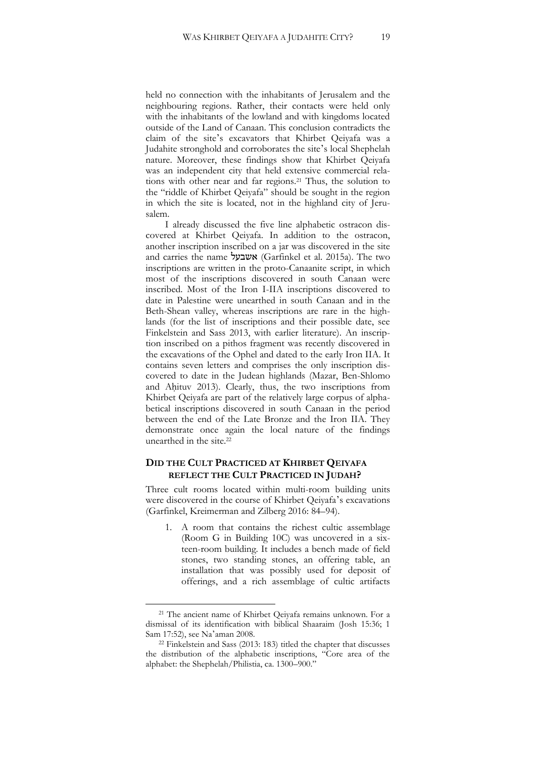held no connection with the inhabitants of Jerusalem and the neighbouring regions. Rather, their contacts were held only with the inhabitants of the lowland and with kingdoms located outside of the Land of Canaan. This conclusion contradicts the claim of the site's excavators that Khirbet Qeiyafa was a Judahite stronghold and corroborates the site's local Shephelah nature. Moreover, these findings show that Khirbet Qeiyafa was an independent city that held extensive commercial relations with other near and far regions.<sup>21</sup> Thus, the solution to the "riddle of Khirbet Qeiyafa" should be sought in the region in which the site is located, not in the highland city of Jerusalem.

I already discussed the five line alphabetic ostracon discovered at Khirbet Qeiyafa. In addition to the ostracon, another inscription inscribed on a jar was discovered in the site and carries the name אשבעל) Garfinkel et al. 2015a). The two inscriptions are written in the proto-Canaanite script, in which most of the inscriptions discovered in south Canaan were inscribed. Most of the Iron I-IIA inscriptions discovered to date in Palestine were unearthed in south Canaan and in the Beth-Shean valley, whereas inscriptions are rare in the highlands (for the list of inscriptions and their possible date, see Finkelstein and Sass 2013, with earlier literature). An inscription inscribed on a pithos fragment was recently discovered in the excavations of the Ophel and dated to the early Iron IIA. It contains seven letters and comprises the only inscription discovered to date in the Judean highlands (Mazar, Ben-Shlomo and Ahituv 2013). Clearly, thus, the two inscriptions from Khirbet Qeiyafa are part of the relatively large corpus of alphabetical inscriptions discovered in south Canaan in the period between the end of the Late Bronze and the Iron IIA. They demonstrate once again the local nature of the findings unearthed in the site.<sup>22</sup>

#### **DID THE CULT PRACTICED AT KHIRBET QEIYAFA REFLECT THE CULT PRACTICED IN JUDAH?**

Three cult rooms located within multi-room building units were discovered in the course of Khirbet Qeiyafa's excavations (Garfinkel, Kreimerman and Zilberg 2016: 84–94).

1. A room that contains the richest cultic assemblage (Room G in Building 10C) was uncovered in a sixteen-room building. It includes a bench made of field stones, two standing stones, an offering table, an installation that was possibly used for deposit of offerings, and a rich assemblage of cultic artifacts

<sup>21</sup> The ancient name of Khirbet Qeiyafa remains unknown. For a dismissal of its identification with biblical Shaaraim (Josh 15:36; 1 Sam 17:52), see Na'aman 2008.

<sup>22</sup> Finkelstein and Sass (2013: 183) titled the chapter that discusses the distribution of the alphabetic inscriptions, "Core area of the alphabet: the Shephelah/Philistia, ca. 1300–900."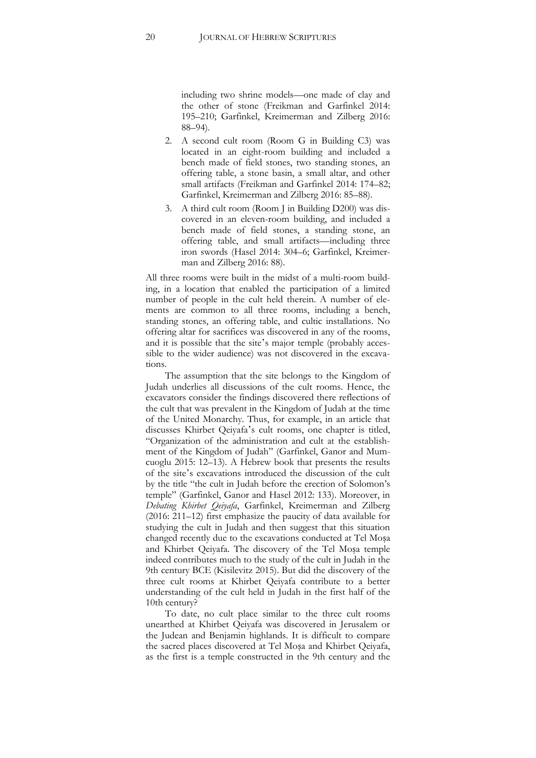including two shrine models—one made of clay and the other of stone (Freikman and Garfinkel 2014: 195–210; Garfinkel, Kreimerman and Zilberg 2016: 88–94).

- 2. A second cult room (Room G in Building C3) was located in an eight-room building and included a bench made of field stones, two standing stones, an offering table, a stone basin, a small altar, and other small artifacts (Freikman and Garfinkel 2014: 174–82; Garfinkel, Kreimerman and Zilberg 2016: 85–88).
- 3. A third cult room (Room J in Building D200) was discovered in an eleven-room building, and included a bench made of field stones, a standing stone, an offering table, and small artifacts—including three iron swords (Hasel 2014: 304–6; Garfinkel, Kreimerman and Zilberg 2016: 88).

All three rooms were built in the midst of a multi-room building, in a location that enabled the participation of a limited number of people in the cult held therein. A number of elements are common to all three rooms, including a bench, standing stones, an offering table, and cultic installations. No offering altar for sacrifices was discovered in any of the rooms, and it is possible that the site's major temple (probably accessible to the wider audience) was not discovered in the excavations.

The assumption that the site belongs to the Kingdom of Judah underlies all discussions of the cult rooms. Hence, the excavators consider the findings discovered there reflections of the cult that was prevalent in the Kingdom of Judah at the time of the United Monarchy. Thus, for example, in an article that discusses Khirbet Qeiyafa's cult rooms, one chapter is titled, "Organization of the administration and cult at the establishment of the Kingdom of Judah" (Garfinkel, Ganor and Mumcuoglu 2015: 12–13). A Hebrew book that presents the results of the site's excavations introduced the discussion of the cult by the title "the cult in Judah before the erection of Solomon's temple" (Garfinkel, Ganor and Hasel 2012: 133). Moreover, in *Debating Khirbet Qeiyafa*, Garfinkel, Kreimerman and Zilberg (2016: 211–12) first emphasize the paucity of data available for studying the cult in Judah and then suggest that this situation changed recently due to the excavations conducted at Tel Moṣa and Khirbet Qeiyafa. The discovery of the Tel Moṣa temple indeed contributes much to the study of the cult in Judah in the 9th century BCE (Kisilevitz 2015). But did the discovery of the three cult rooms at Khirbet Qeiyafa contribute to a better understanding of the cult held in Judah in the first half of the 10th century?

To date, no cult place similar to the three cult rooms unearthed at Khirbet Qeiyafa was discovered in Jerusalem or the Judean and Benjamin highlands. It is difficult to compare the sacred places discovered at Tel Moṣa and Khirbet Qeiyafa, as the first is a temple constructed in the 9th century and the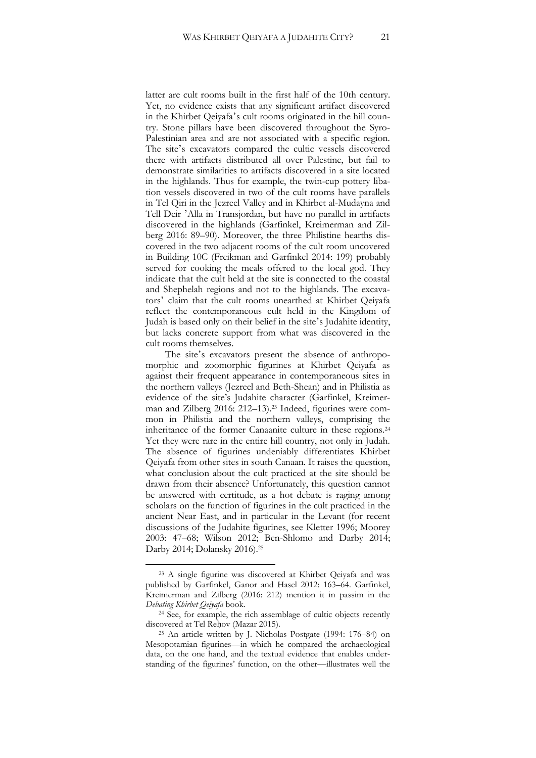latter are cult rooms built in the first half of the 10th century. Yet, no evidence exists that any significant artifact discovered in the Khirbet Qeiyafa's cult rooms originated in the hill country. Stone pillars have been discovered throughout the Syro-Palestinian area and are not associated with a specific region. The site's excavators compared the cultic vessels discovered there with artifacts distributed all over Palestine, but fail to demonstrate similarities to artifacts discovered in a site located in the highlands. Thus for example, the twin-cup pottery libation vessels discovered in two of the cult rooms have parallels in Tel Qiri in the Jezreel Valley and in Khirbet al-Mudayna and Tell Deir 'Alla in Transjordan, but have no parallel in artifacts discovered in the highlands (Garfinkel, Kreimerman and Zilberg 2016: 89–90). Moreover, the three Philistine hearths discovered in the two adjacent rooms of the cult room uncovered in Building 10C (Freikman and Garfinkel 2014: 199) probably served for cooking the meals offered to the local god. They indicate that the cult held at the site is connected to the coastal and Shephelah regions and not to the highlands. The excavators' claim that the cult rooms unearthed at Khirbet Qeiyafa reflect the contemporaneous cult held in the Kingdom of Judah is based only on their belief in the site's Judahite identity, but lacks concrete support from what was discovered in the cult rooms themselves.

The site's excavators present the absence of anthropomorphic and zoomorphic figurines at Khirbet Qeiyafa as against their frequent appearance in contemporaneous sites in the northern valleys (Jezreel and Beth-Shean) and in Philistia as evidence of the site's Judahite character (Garfinkel, Kreimerman and Zilberg 2016: 212–13).<sup>23</sup> Indeed, figurines were common in Philistia and the northern valleys, comprising the inheritance of the former Canaanite culture in these regions.<sup>24</sup> Yet they were rare in the entire hill country, not only in Judah. The absence of figurines undeniably differentiates Khirbet Qeiyafa from other sites in south Canaan. It raises the question, what conclusion about the cult practiced at the site should be drawn from their absence? Unfortunately, this question cannot be answered with certitude, as a hot debate is raging among scholars on the function of figurines in the cult practiced in the ancient Near East, and in particular in the Levant (for recent discussions of the Judahite figurines, see Kletter 1996; Moorey 2003: 47–68; Wilson 2012; Ben-Shlomo and Darby 2014; Darby 2014; Dolansky 2016).<sup>25</sup>

<sup>23</sup> A single figurine was discovered at Khirbet Qeiyafa and was published by Garfinkel, Ganor and Hasel 2012: 163–64. Garfinkel, Kreimerman and Zilberg (2016: 212) mention it in passim in the *Debating Khirbet Qeiyafa* book.

<sup>&</sup>lt;sup>24</sup> See, for example, the rich assemblage of cultic objects recently discovered at Tel Reḥov (Mazar 2015).

<sup>25</sup> An article written by J. Nicholas Postgate (1994: 176–84) on Mesopotamian figurines—in which he compared the archaeological data, on the one hand, and the textual evidence that enables understanding of the figurines' function, on the other—illustrates well the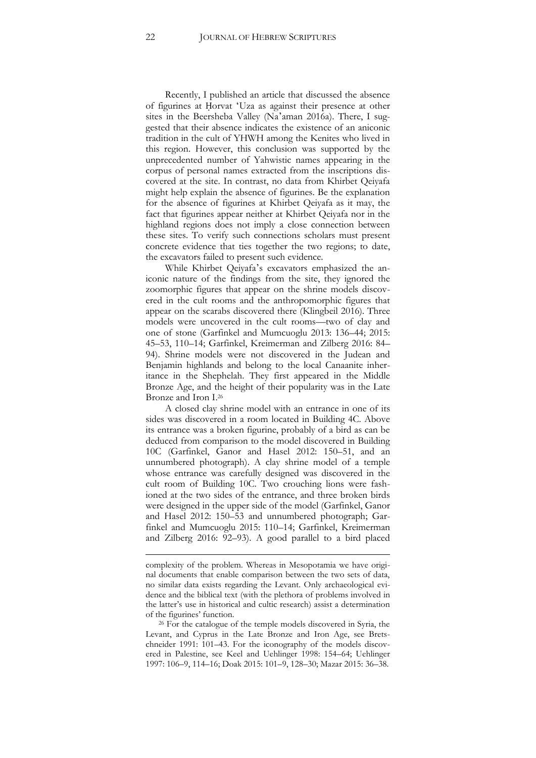Recently, I published an article that discussed the absence of figurines at Ḥorvat ʻUza as against their presence at other sites in the Beersheba Valley (Na'aman 2016a). There, I suggested that their absence indicates the existence of an aniconic tradition in the cult of YHWH among the Kenites who lived in this region. However, this conclusion was supported by the unprecedented number of Yahwistic names appearing in the corpus of personal names extracted from the inscriptions discovered at the site. In contrast, no data from Khirbet Qeiyafa might help explain the absence of figurines. Be the explanation for the absence of figurines at Khirbet Qeiyafa as it may, the fact that figurines appear neither at Khirbet Qeiyafa nor in the highland regions does not imply a close connection between these sites. To verify such connections scholars must present concrete evidence that ties together the two regions; to date, the excavators failed to present such evidence.

While Khirbet Qeiyafa's excavators emphasized the aniconic nature of the findings from the site, they ignored the zoomorphic figures that appear on the shrine models discovered in the cult rooms and the anthropomorphic figures that appear on the scarabs discovered there (Klingbeil 2016). Three models were uncovered in the cult rooms—two of clay and one of stone (Garfinkel and Mumcuoglu 2013: 136–44; 2015: 45–53, 110–14; Garfinkel, Kreimerman and Zilberg 2016: 84– 94). Shrine models were not discovered in the Judean and Benjamin highlands and belong to the local Canaanite inheritance in the Shephelah. They first appeared in the Middle Bronze Age, and the height of their popularity was in the Late Bronze and Iron I.<sup>26</sup>

A closed clay shrine model with an entrance in one of its sides was discovered in a room located in Building 4C. Above its entrance was a broken figurine, probably of a bird as can be deduced from comparison to the model discovered in Building 10C (Garfinkel, Ganor and Hasel 2012: 150–51, and an unnumbered photograph). A clay shrine model of a temple whose entrance was carefully designed was discovered in the cult room of Building 10C. Two crouching lions were fashioned at the two sides of the entrance, and three broken birds were designed in the upper side of the model (Garfinkel, Ganor and Hasel 2012: 150–53 and unnumbered photograph; Garfinkel and Mumcuoglu 2015: 110–14; Garfinkel, Kreimerman and Zilberg 2016: 92–93). A good parallel to a bird placed

**.** 

complexity of the problem. Whereas in Mesopotamia we have original documents that enable comparison between the two sets of data, no similar data exists regarding the Levant. Only archaeological evidence and the biblical text (with the plethora of problems involved in the latter's use in historical and cultic research) assist a determination of the figurines' function.

<sup>&</sup>lt;sup>26</sup> For the catalogue of the temple models discovered in Syria, the Levant, and Cyprus in the Late Bronze and Iron Age, see Bretschneider 1991: 101–43. For the iconography of the models discovered in Palestine, see Keel and Uehlinger 1998: 154–64; Uehlinger 1997: 106–9, 114–16; Doak 2015: 101–9, 128–30; Mazar 2015: 36–38.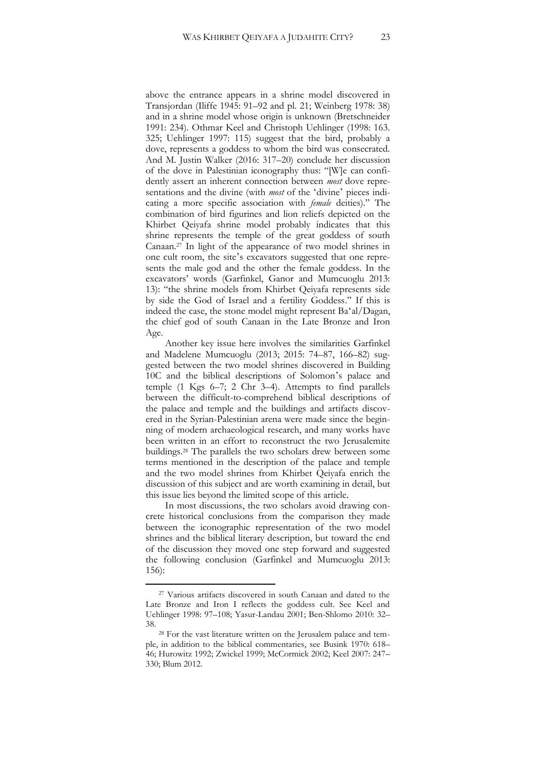above the entrance appears in a shrine model discovered in Transjordan (Iliffe 1945: 91–92 and pl. 21; Weinberg 1978: 38) and in a shrine model whose origin is unknown (Bretschneider 1991: 234). Othmar Keel and Christoph Uehlinger (1998: 163. 325; Uehlinger 1997: 115) suggest that the bird, probably a dove, represents a goddess to whom the bird was consecrated. And M. Justin Walker (2016: 317–20) conclude her discussion of the dove in Palestinian iconography thus: "[W]e can confidently assert an inherent connection between *most* dove representations and the divine (with *most* of the ʻdivine' pieces indicating a more specific association with *female* deities)." The combination of bird figurines and lion reliefs depicted on the Khirbet Qeiyafa shrine model probably indicates that this shrine represents the temple of the great goddess of south Canaan.<sup>27</sup> In light of the appearance of two model shrines in one cult room, the site's excavators suggested that one represents the male god and the other the female goddess. In the excavators' words (Garfinkel, Ganor and Mumcuoglu 2013: 13): "the shrine models from Khirbet Qeiyafa represents side by side the God of Israel and a fertility Goddess." If this is indeed the case, the stone model might represent Baʻal/Dagan, the chief god of south Canaan in the Late Bronze and Iron Age.

Another key issue here involves the similarities Garfinkel and Madelene Mumcuoglu (2013; 2015: 74–87, 166–82) suggested between the two model shrines discovered in Building 10C and the biblical descriptions of Solomon's palace and temple (1 Kgs 6–7; 2 Chr 3–4). Attempts to find parallels between the difficult-to-comprehend biblical descriptions of the palace and temple and the buildings and artifacts discovered in the Syrian-Palestinian arena were made since the beginning of modern archaeological research, and many works have been written in an effort to reconstruct the two Jerusalemite buildings.<sup>28</sup> The parallels the two scholars drew between some terms mentioned in the description of the palace and temple and the two model shrines from Khirbet Qeiyafa enrich the discussion of this subject and are worth examining in detail, but this issue lies beyond the limited scope of this article.

In most discussions, the two scholars avoid drawing concrete historical conclusions from the comparison they made between the iconographic representation of the two model shrines and the biblical literary description, but toward the end of the discussion they moved one step forward and suggested the following conclusion (Garfinkel and Mumcuoglu 2013: 156):

<sup>27</sup> Various artifacts discovered in south Canaan and dated to the Late Bronze and Iron I reflects the goddess cult. See Keel and Uehlinger 1998: 97–108; Yasur-Landau 2001; Ben-Shlomo 2010: 32– 38.

<sup>28</sup> For the vast literature written on the Jerusalem palace and temple, in addition to the biblical commentaries, see Busink 1970: 618– 46; Hurowitz 1992; Zwickel 1999; McCormick 2002; Keel 2007: 247– 330; Blum 2012.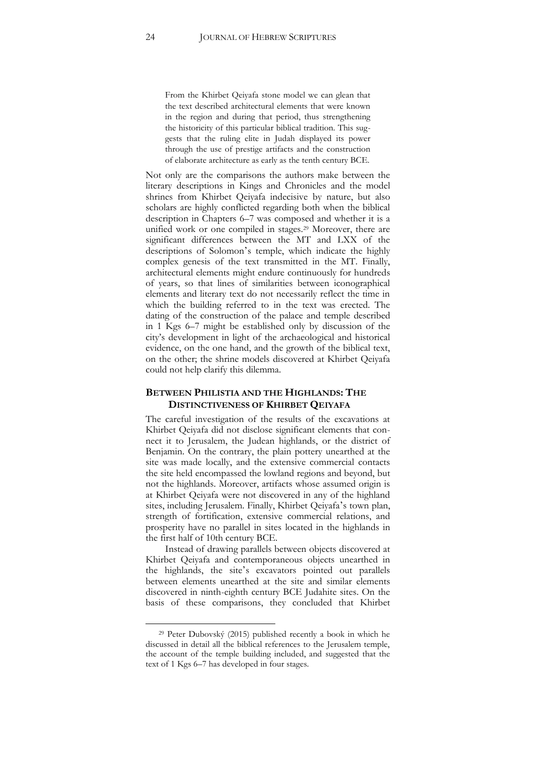From the Khirbet Qeiyafa stone model we can glean that the text described architectural elements that were known in the region and during that period, thus strengthening the historicity of this particular biblical tradition. This suggests that the ruling elite in Judah displayed its power through the use of prestige artifacts and the construction of elaborate architecture as early as the tenth century BCE.

Not only are the comparisons the authors make between the literary descriptions in Kings and Chronicles and the model shrines from Khirbet Qeiyafa indecisive by nature, but also scholars are highly conflicted regarding both when the biblical description in Chapters 6–7 was composed and whether it is a unified work or one compiled in stages.<sup>29</sup> Moreover, there are significant differences between the MT and LXX of the descriptions of Solomon's temple, which indicate the highly complex genesis of the text transmitted in the MT. Finally, architectural elements might endure continuously for hundreds of years, so that lines of similarities between iconographical elements and literary text do not necessarily reflect the time in which the building referred to in the text was erected. The dating of the construction of the palace and temple described in 1 Kgs 6–7 might be established only by discussion of the city's development in light of the archaeological and historical evidence, on the one hand, and the growth of the biblical text, on the other; the shrine models discovered at Khirbet Qeiyafa could not help clarify this dilemma.

#### **BETWEEN PHILISTIA AND THE HIGHLANDS: THE DISTINCTIVENESS OF KHIRBET QEIYAFA**

The careful investigation of the results of the excavations at Khirbet Qeiyafa did not disclose significant elements that connect it to Jerusalem, the Judean highlands, or the district of Benjamin. On the contrary, the plain pottery unearthed at the site was made locally, and the extensive commercial contacts the site held encompassed the lowland regions and beyond, but not the highlands. Moreover, artifacts whose assumed origin is at Khirbet Qeiyafa were not discovered in any of the highland sites, including Jerusalem. Finally, Khirbet Qeiyafa's town plan, strength of fortification, extensive commercial relations, and prosperity have no parallel in sites located in the highlands in the first half of 10th century BCE.

Instead of drawing parallels between objects discovered at Khirbet Qeiyafa and contemporaneous objects unearthed in the highlands, the site's excavators pointed out parallels between elements unearthed at the site and similar elements discovered in ninth-eighth century BCE Judahite sites. On the basis of these comparisons, they concluded that Khirbet

<sup>29</sup> Peter Dubovský (2015) published recently a book in which he discussed in detail all the biblical references to the Jerusalem temple, the account of the temple building included, and suggested that the text of 1 Kgs 6–7 has developed in four stages.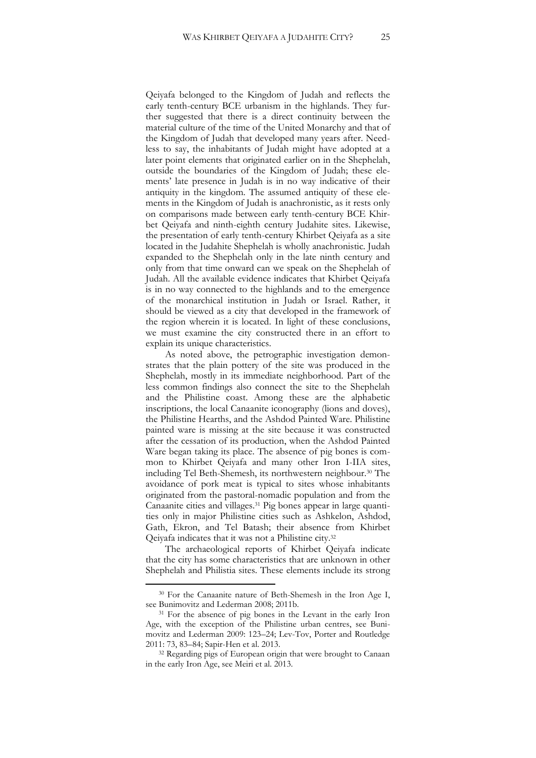Qeiyafa belonged to the Kingdom of Judah and reflects the early tenth-century BCE urbanism in the highlands. They further suggested that there is a direct continuity between the material culture of the time of the United Monarchy and that of the Kingdom of Judah that developed many years after. Needless to say, the inhabitants of Judah might have adopted at a later point elements that originated earlier on in the Shephelah, outside the boundaries of the Kingdom of Judah; these elements' late presence in Judah is in no way indicative of their antiquity in the kingdom. The assumed antiquity of these elements in the Kingdom of Judah is anachronistic, as it rests only on comparisons made between early tenth-century BCE Khirbet Qeiyafa and ninth-eighth century Judahite sites. Likewise, the presentation of early tenth-century Khirbet Qeiyafa as a site located in the Judahite Shephelah is wholly anachronistic. Judah expanded to the Shephelah only in the late ninth century and only from that time onward can we speak on the Shephelah of Judah. All the available evidence indicates that Khirbet Qeiyafa is in no way connected to the highlands and to the emergence of the monarchical institution in Judah or Israel. Rather, it should be viewed as a city that developed in the framework of the region wherein it is located. In light of these conclusions, we must examine the city constructed there in an effort to explain its unique characteristics.

As noted above, the petrographic investigation demonstrates that the plain pottery of the site was produced in the Shephelah, mostly in its immediate neighborhood. Part of the less common findings also connect the site to the Shephelah and the Philistine coast. Among these are the alphabetic inscriptions, the local Canaanite iconography (lions and doves), the Philistine Hearths, and the Ashdod Painted Ware. Philistine painted ware is missing at the site because it was constructed after the cessation of its production, when the Ashdod Painted Ware began taking its place. The absence of pig bones is common to Khirbet Qeiyafa and many other Iron I-IIA sites, including Tel Beth-Shemesh, its northwestern neighbour.<sup>30</sup> The avoidance of pork meat is typical to sites whose inhabitants originated from the pastoral-nomadic population and from the Canaanite cities and villages.<sup>31</sup> Pig bones appear in large quantities only in major Philistine cities such as Ashkelon, Ashdod, Gath, Ekron, and Tel Batash; their absence from Khirbet Qeiyafa indicates that it was not a Philistine city.<sup>32</sup>

The archaeological reports of Khirbet Qeiyafa indicate that the city has some characteristics that are unknown in other Shephelah and Philistia sites. These elements include its strong

<sup>30</sup> For the Canaanite nature of Beth-Shemesh in the Iron Age I, see Bunimovitz and Lederman 2008; 2011b.

<sup>&</sup>lt;sup>31</sup> For the absence of pig bones in the Levant in the early Iron Age, with the exception of the Philistine urban centres, see Bunimovitz and Lederman 2009: 123–24; Lev-Tov, Porter and Routledge 2011: 73, 83–84; Sapir-Hen et al. 2013.

<sup>&</sup>lt;sup>32</sup> Regarding pigs of European origin that were brought to Canaan in the early Iron Age, see Meiri et al. 2013.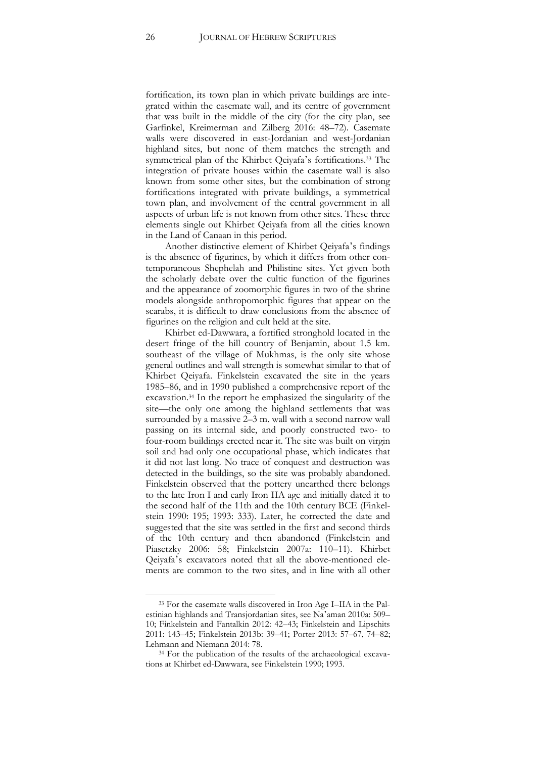fortification, its town plan in which private buildings are integrated within the casemate wall, and its centre of government that was built in the middle of the city (for the city plan, see Garfinkel, Kreimerman and Zilberg 2016: 48–72). Casemate walls were discovered in east-Jordanian and west-Jordanian highland sites, but none of them matches the strength and symmetrical plan of the Khirbet Qeiyafa's fortifications.<sup>33</sup> The integration of private houses within the casemate wall is also known from some other sites, but the combination of strong fortifications integrated with private buildings, a symmetrical town plan, and involvement of the central government in all aspects of urban life is not known from other sites. These three elements single out Khirbet Qeiyafa from all the cities known in the Land of Canaan in this period.

Another distinctive element of Khirbet Qeiyafa's findings is the absence of figurines, by which it differs from other contemporaneous Shephelah and Philistine sites. Yet given both the scholarly debate over the cultic function of the figurines and the appearance of zoomorphic figures in two of the shrine models alongside anthropomorphic figures that appear on the scarabs, it is difficult to draw conclusions from the absence of figurines on the religion and cult held at the site.

Khirbet ed-Dawwara, a fortified stronghold located in the desert fringe of the hill country of Benjamin, about 1.5 km. southeast of the village of Mukhmas, is the only site whose general outlines and wall strength is somewhat similar to that of Khirbet Qeiyafa. Finkelstein excavated the site in the years 1985–86, and in 1990 published a comprehensive report of the excavation.<sup>34</sup> In the report he emphasized the singularity of the site—the only one among the highland settlements that was surrounded by a massive 2–3 m. wall with a second narrow wall passing on its internal side, and poorly constructed two- to four-room buildings erected near it. The site was built on virgin soil and had only one occupational phase, which indicates that it did not last long. No trace of conquest and destruction was detected in the buildings, so the site was probably abandoned. Finkelstein observed that the pottery unearthed there belongs to the late Iron I and early Iron IIA age and initially dated it to the second half of the 11th and the 10th century BCE (Finkelstein 1990: 195; 1993: 333). Later, he corrected the date and suggested that the site was settled in the first and second thirds of the 10th century and then abandoned (Finkelstein and Piasetzky 2006: 58; Finkelstein 2007a: 110–11). Khirbet Qeiyafa's excavators noted that all the above-mentioned elements are common to the two sites, and in line with all other

<sup>33</sup> For the casemate walls discovered in Iron Age I–IIA in the Palestinian highlands and Transjordanian sites, see Na'aman 2010a: 509– 10; Finkelstein and Fantalkin 2012: 42–43; Finkelstein and Lipschits 2011: 143–45; Finkelstein 2013b: 39–41; Porter 2013: 57–67, 74–82; Lehmann and Niemann 2014: 78.

<sup>&</sup>lt;sup>34</sup> For the publication of the results of the archaeological excavations at Khirbet ed-Dawwara, see Finkelstein 1990; 1993.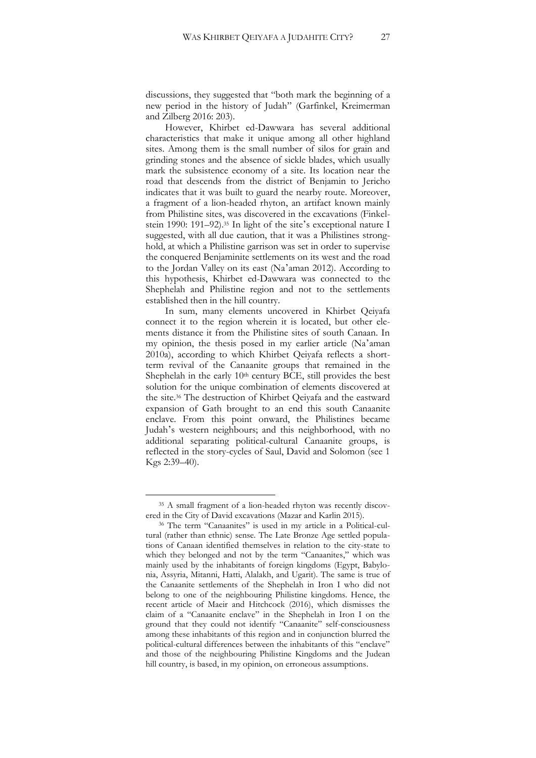discussions, they suggested that "both mark the beginning of a new period in the history of Judah" (Garfinkel, Kreimerman and Zilberg 2016: 203).

However, Khirbet ed-Dawwara has several additional characteristics that make it unique among all other highland sites. Among them is the small number of silos for grain and grinding stones and the absence of sickle blades, which usually mark the subsistence economy of a site. Its location near the road that descends from the district of Benjamin to Jericho indicates that it was built to guard the nearby route. Moreover, a fragment of a lion-headed rhyton, an artifact known mainly from Philistine sites, was discovered in the excavations (Finkelstein 1990: 191–92).<sup>35</sup> In light of the site's exceptional nature I suggested, with all due caution, that it was a Philistines stronghold, at which a Philistine garrison was set in order to supervise the conquered Benjaminite settlements on its west and the road to the Jordan Valley on its east (Na'aman 2012). According to this hypothesis, Khirbet ed-Dawwara was connected to the Shephelah and Philistine region and not to the settlements established then in the hill country.

In sum, many elements uncovered in Khirbet Qeiyafa connect it to the region wherein it is located, but other elements distance it from the Philistine sites of south Canaan. In my opinion, the thesis posed in my earlier article (Na'aman 2010a), according to which Khirbet Qeiyafa reflects a shortterm revival of the Canaanite groups that remained in the Shephelah in the early  $10<sup>th</sup>$  century BCE, still provides the best solution for the unique combination of elements discovered at the site.<sup>36</sup> The destruction of Khirbet Qeiyafa and the eastward expansion of Gath brought to an end this south Canaanite enclave. From this point onward, the Philistines became Judah's western neighbours; and this neighborhood, with no additional separating political-cultural Canaanite groups, is reflected in the story-cycles of Saul, David and Solomon (see 1 Kgs 2:39–40).

<sup>35</sup> A small fragment of a lion-headed rhyton was recently discovered in the City of David excavations (Mazar and Karlin 2015).

<sup>36</sup> The term "Canaanites" is used in my article in a Political-cultural (rather than ethnic) sense. The Late Bronze Age settled populations of Canaan identified themselves in relation to the city-state to which they belonged and not by the term "Canaanites," which was mainly used by the inhabitants of foreign kingdoms (Egypt, Babylonia, Assyria, Mitanni, Hatti, Alalakh, and Ugarit). The same is true of the Canaanite settlements of the Shephelah in Iron I who did not belong to one of the neighbouring Philistine kingdoms. Hence, the recent article of Maeir and Hitchcock (2016), which dismisses the claim of a "Canaanite enclave" in the Shephelah in Iron I on the ground that they could not identify "Canaanite" self-consciousness among these inhabitants of this region and in conjunction blurred the political-cultural differences between the inhabitants of this "enclave" and those of the neighbouring Philistine Kingdoms and the Judean hill country, is based, in my opinion, on erroneous assumptions.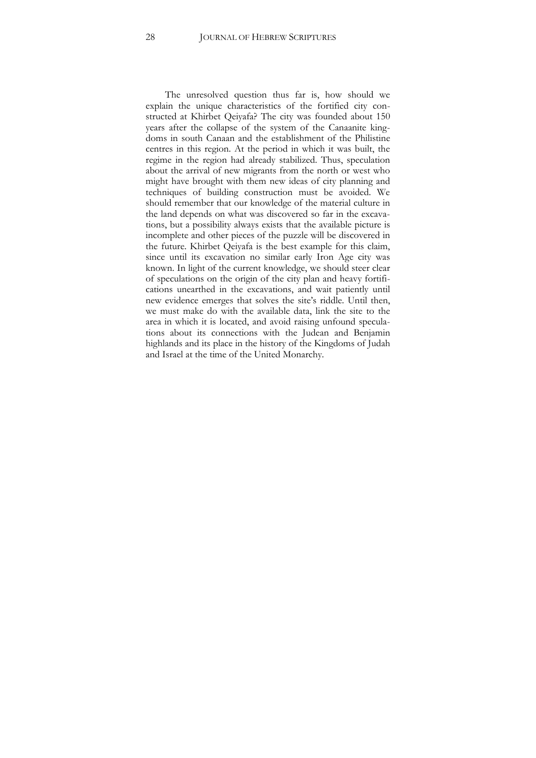The unresolved question thus far is, how should we explain the unique characteristics of the fortified city constructed at Khirbet Qeiyafa? The city was founded about 150 years after the collapse of the system of the Canaanite kingdoms in south Canaan and the establishment of the Philistine centres in this region. At the period in which it was built, the regime in the region had already stabilized. Thus, speculation about the arrival of new migrants from the north or west who might have brought with them new ideas of city planning and techniques of building construction must be avoided. We should remember that our knowledge of the material culture in the land depends on what was discovered so far in the excavations, but a possibility always exists that the available picture is incomplete and other pieces of the puzzle will be discovered in the future. Khirbet Qeiyafa is the best example for this claim, since until its excavation no similar early Iron Age city was known. In light of the current knowledge, we should steer clear of speculations on the origin of the city plan and heavy fortifications unearthed in the excavations, and wait patiently until new evidence emerges that solves the site's riddle. Until then, we must make do with the available data, link the site to the area in which it is located, and avoid raising unfound speculations about its connections with the Judean and Benjamin highlands and its place in the history of the Kingdoms of Judah and Israel at the time of the United Monarchy.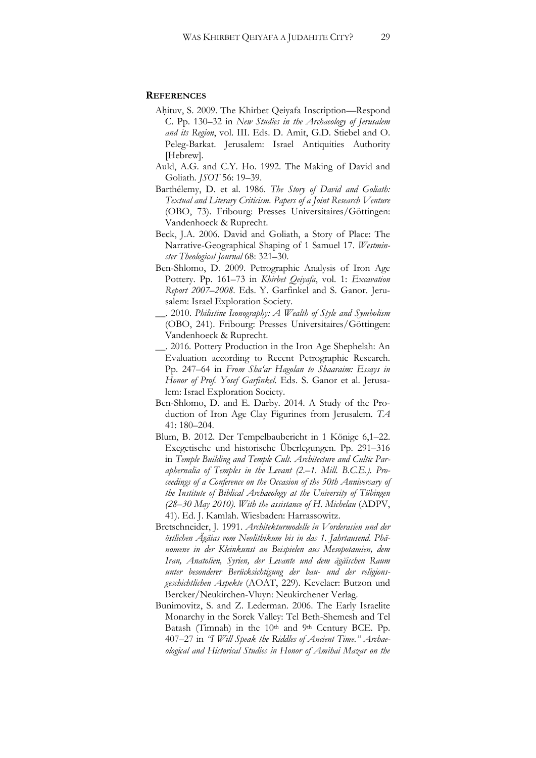#### **REFERENCES**

- Aḥituv, S. 2009. The Khirbet Qeiyafa Inscription—Respond C. Pp. 130–32 in *New Studies in the Archaeology of Jerusalem and its Region*, vol. III. Eds. D. Amit, G.D. Stiebel and O. Peleg-Barkat. Jerusalem: Israel Antiquities Authority [Hebrew].
- Auld, A.G. and C.Y. Ho. 1992. The Making of David and Goliath*. JSOT* 56: 19–39.
- Barthélemy, D. et al. 1986. *The Story of David and Goliath: Textual and Literary Criticism. Papers of a Joint Research Venture* (OBO, 73). Fribourg: Presses Universitaires/Göttingen: Vandenhoeck & Ruprecht.
- Beck, J.A. 2006. David and Goliath, a Story of Place: The Narrative-Geographical Shaping of 1 Samuel 17. *Westminster Theological Journal* 68: 321–30.
- Ben-Shlomo, D. 2009. Petrographic Analysis of Iron Age Pottery. Pp. 161–73 in *Khirbet Qeiyafa*, vol. 1: *Excavation Report 2007–2008*. Eds. Y. Garfinkel and S. Ganor. Jerusalem: Israel Exploration Society.
- \_\_. 2010. *Philistine Iconography: A Wealth of Style and Symbolism* (OBO, 241). Fribourg: Presses Universitaires/Göttingen: Vandenhoeck & Ruprecht.
- \_\_. 2016. Pottery Production in the Iron Age Shephelah: An Evaluation according to Recent Petrographic Research. Pp. 247–64 in *From Sha'ar Hagolan to Shaaraim: Essays in Honor of Prof. Yosef Garfinkel*. Eds. S. Ganor et al. Jerusalem: Israel Exploration Society.
- Ben-Shlomo, D. and E. Darby. 2014. A Study of the Production of Iron Age Clay Figurines from Jerusalem. *TA* 41: 180–204.
- Blum, B. 2012. Der Tempelbaubericht in 1 Könige 6,1–22. Exegetische und historische Überlegungen. Pp. 291–316 in *Temple Building and Temple Cult. Architecture and Cultic Paraphernalia of Temples in the Levant (2.*–*1. Mill. B.C.E.). Proceedings of a Conference on the Occasion of the 50th Anniversary of the Institute of Biblical Archaeology at the University of Tübingen (28*–*30 May 2010). With the assistance of H. Michelau* (ADPV, 41). Ed. J. Kamlah. Wiesbaden: Harrassowitz.
- Bretschneider, J. 1991. *Architekturmodelle in Vorderasien und der östlichen Ägäias vom Neolithikum bis in das 1. Jahrtausend. Phänomene in der Kleinkunst an Beispielen aus Mesopotamien, dem Iran, Anatolien, Syrien, der Levante und dem ägäischen Raum unter besonderer Berücksichtigung der bau- und der religionsgeschichtlichen Aspekte* (AOAT, 229). Kevelaer: Butzon und Bercker/Neukirchen-Vluyn: Neukirchener Verlag.
- Bunimovitz, S. and Z. Lederman. 2006. The Early Israelite Monarchy in the Sorek Valley: Tel Beth-Shemesh and Tel Batash (Timnah) in the 10<sup>th</sup> and 9<sup>th</sup> Century BCE. Pp. 407–27 in *"I Will Speak the Riddles of Ancient Time." Archaeological and Historical Studies in Honor of Amihai Mazar on the*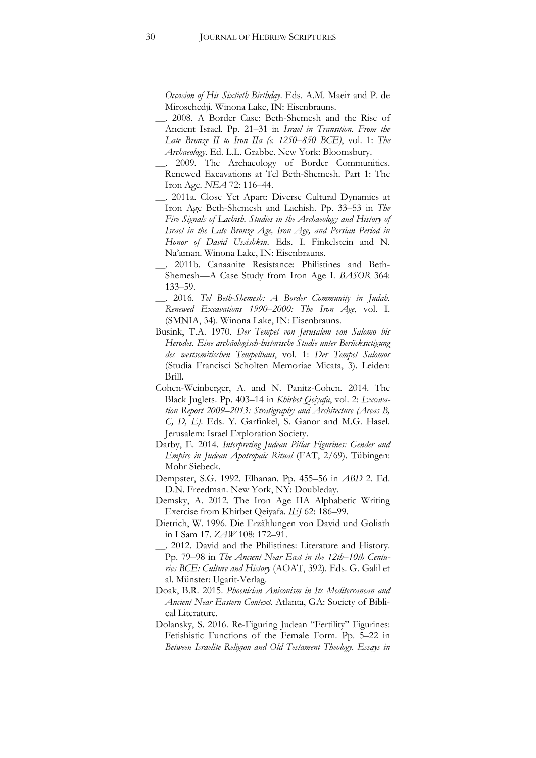*Occasion of His Sixtieth Birthday*. Eds. A.M. Maeir and P. de Miroschedji. Winona Lake, IN: Eisenbrauns.

- \_\_. 2008. A Border Case: Beth-Shemesh and the Rise of Ancient Israel. Pp. 21–31 in *Israel in Transition. From the Late Bronze II to Iron IIa (c. 1250*–*850 BCE)*, vol. 1: *The Archaeology*. Ed. L.L. Grabbe. New York: Bloomsbury.
- \_\_. 2009. The Archaeology of Border Communities. Renewed Excavations at Tel Beth-Shemesh. Part 1: The Iron Age. *NEA* 72: 116–44.
- \_\_. 2011a. Close Yet Apart: Diverse Cultural Dynamics at Iron Age Beth-Shemesh and Lachish. Pp. 33–53 in *The Fire Signals of Lachish. Studies in the Archaeology and History of Israel in the Late Bronze Age, Iron Age, and Persian Period in Honor of David Ussishkin*. Eds. I. Finkelstein and N. Na'aman. Winona Lake, IN: Eisenbrauns.
- \_\_. 2011b. Canaanite Resistance: Philistines and Beth-Shemesh—A Case Study from Iron Age I*. BASOR* 364: 133–59.
- \_\_. 2016. *Tel Beth-Shemesh: A Border Community in Judah. Renewed Excavations 1990*–*2000: The Iron Age*, vol. I. (SMNIA, 34). Winona Lake, IN: Eisenbrauns.
- Busink, T.A. 1970. *Der Tempel von Jerusalem von Salomo bis Herodes. Eine archäologisch-historische Studie unter Berücksictigung des westsemitischen Tempelbaus*, vol. 1: *Der Tempel Salomos* (Studia Francisci Scholten Memoriae Micata, 3). Leiden: Brill.
- Cohen-Weinberger, A. and N. Panitz-Cohen. 2014. The Black Juglets. Pp. 403–14 in *Khirbet Qeiyafa*, vol. 2: *Excavation Report 2009*–*2013: Stratigraphy and Architecture (Areas B, C, D, E)*. Eds. Y. Garfinkel, S. Ganor and M.G. Hasel. Jerusalem: Israel Exploration Society.
- Darby, E. 2014. *Interpreting Judean Pillar Figurines: Gender and Empire in Judean Apotropaic Ritual* (FAT, 2/69). Tübingen: Mohr Siebeck.
- Dempster, S.G. 1992. Elhanan. Pp. 455–56 in *ABD* 2. Ed. D.N. Freedman. New York, NY: Doubleday.
- Demsky, A. 2012. The Iron Age IIA Alphabetic Writing Exercise from Khirbet Qeiyafa. *IEJ* 62: 186–99.
- Dietrich, W. 1996. Die Erzählungen von David und Goliath in I Sam 17. *ZAW* 108: 172–91.
- \_\_. 2012. David and the Philistines: Literature and History. Pp. 79–98 in *The Ancient Near East in the 12th*–*10th Centuries BCE: Culture and History* (AOAT, 392). Eds. G. Galil et al. Münster: Ugarit-Verlag.
- Doak, B.R. 2015. *Phoenician Aniconism in Its Mediterranean and Ancient Near Eastern Context*. Atlanta, GA: Society of Biblical Literature.
- Dolansky, S. 2016. Re-Figuring Judean "Fertility" Figurines: Fetishistic Functions of the Female Form. Pp. 5–22 in *Between Israelite Religion and Old Testament Theology. Essays in*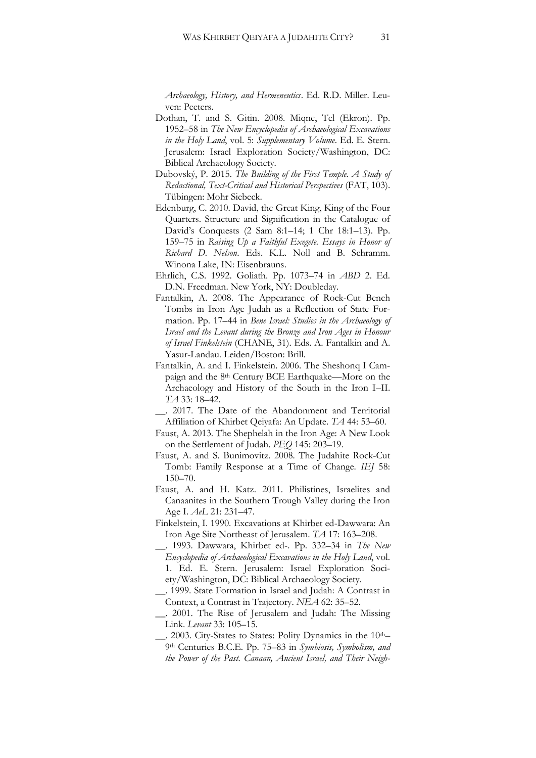*Archaeology, History, and Hermeneutics*. Ed. R.D. Miller. Leuven: Peeters.

- Dothan, T. and S. Gitin. 2008. Miqne, Tel (Ekron). Pp. 1952–58 in *The New Encyclopedia of Archaeological Excavations in the Holy Land*, vol. 5: *Supplementary Volume*. Ed. E. Stern. Jerusalem: Israel Exploration Society/Washington, DC: Biblical Archaeology Society.
- Dubovský, P. 2015. *The Building of the First Temple. A Study of Redactional, Text-Critical and Historical Perspectives* (FAT, 103). Tübingen: Mohr Siebeck.
- Edenburg, C. 2010. David, the Great King, King of the Four Quarters. Structure and Signification in the Catalogue of David's Conquests (2 Sam 8:1–14; 1 Chr 18:1–13). Pp. 159–75 in *Raising Up a Faithful Exegete. Essays in Honor of Richard D. Nelson*. Eds. K.L. Noll and B. Schramm. Winona Lake, IN: Eisenbrauns.
- Ehrlich, C.S. 1992. Goliath. Pp. 1073–74 in *ABD* 2. Ed. D.N. Freedman. New York, NY: Doubleday.
- Fantalkin, A. 2008. The Appearance of Rock-Cut Bench Tombs in Iron Age Judah as a Reflection of State Formation. Pp. 17–44 in *Bene Israel: Studies in the Archaeology of Israel and the Levant during the Bronze and Iron Ages in Honour of Israel Finkelstein* (CHANE, 31). Eds. A. Fantalkin and A. Yasur-Landau. Leiden/Boston: Brill.
- Fantalkin, A. and I. Finkelstein. 2006. The Sheshonq I Campaign and the 8th Century BCE Earthquake—More on the Archaeology and History of the South in the Iron I–II. *TA* 33: 18–42.
- \_\_. 2017. The Date of the Abandonment and Territorial Affiliation of Khirbet Qeiyafa: An Update. *TA* 44: 53–60.
- Faust, A. 2013. The Shephelah in the Iron Age: A New Look on the Settlement of Judah. *PEQ* 145: 203–19.
- Faust, A. and S. Bunimovitz. 2008. The Judahite Rock-Cut Tomb: Family Response at a Time of Change. *IEJ* 58: 150–70.
- Faust, A. and H. Katz. 2011. Philistines, Israelites and Canaanites in the Southern Trough Valley during the Iron Age I. *AeL* 21: 231–47.
- Finkelstein, I. 1990. Excavations at Khirbet ed-Dawwara: An Iron Age Site Northeast of Jerusalem. *TA* 17: 163–208.
- \_\_. 1993. Dawwara, Khirbet ed-. Pp. 332–34 in *The New Encyclopedia of Archaeological Excavations in the Holy Land*, vol. 1. Ed. E. Stern. Jerusalem: Israel Exploration Society/Washington, DC: Biblical Archaeology Society.
- \_\_. 1999. State Formation in Israel and Judah: A Contrast in Context, a Contrast in Trajectory. *NEA* 62: 35–52.
- \_\_. 2001. The Rise of Jerusalem and Judah: The Missing Link. *Levant* 33: 105–15.
- \_\_. 2003. City-States to States: Polity Dynamics in the 10th– 9th Centuries B.C.E. Pp. 75–83 in *Symbiosis, Symbolism, and the Power of the Past. Canaan, Ancient Israel, and Their Neigh-*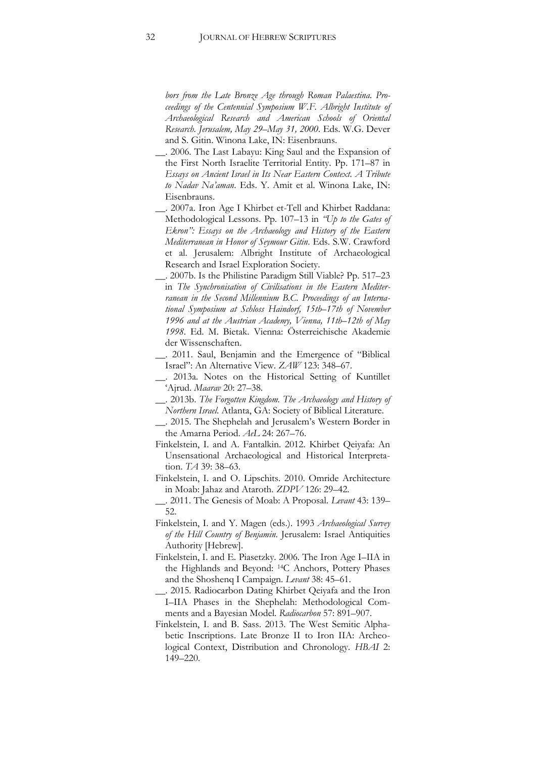*bors from the Late Bronze Age through Roman Palaestina*. *Proceedings of the Centennial Symposium W.F. Albright Institute of Archaeological Research and American Schools of Oriental Research. Jerusalem, May 29–May 31, 2000*. Eds. W.G. Dever and S. Gitin. Winona Lake, IN: Eisenbrauns.

- \_\_. 2006. The Last Labayu: King Saul and the Expansion of the First North Israelite Territorial Entity. Pp. 171–87 in *Essays on Ancient Israel in Its Near Eastern Context. A Tribute to Nadav Na'aman*. Eds. Y. Amit et al. Winona Lake, IN: Eisenbrauns.
- \_\_. 2007a. Iron Age I Khirbet et-Tell and Khirbet Raddana: Methodological Lessons. Pp. 107–13 in *"Up to the Gates of Ekron": Essays on the Archaeology and History of the Eastern Mediterranean in Honor of Seymour Gitin*. Eds. S.W. Crawford et al. Jerusalem: Albright Institute of Archaeological Research and Israel Exploration Society.
- \_\_. 2007b. Is the Philistine Paradigm Still Viable? Pp. 517–23 in *The Synchronisation of Civilisations in the Eastern Mediterranean in the Second Millennium B.C. Proceedings of an International Symposium at Schloss Haindorf, 15th–17th of November 1996 and at the Austrian Academy, Vienna, 11th–12th of May 1998*. Ed. M. Bietak. Vienna: Österreichische Akademie der Wissenschaften.
- \_\_. 2011. Saul, Benjamin and the Emergence of "Biblical Israel": An Alternative View. *ZAW* 123: 348–67.
- \_\_. 2013a. Notes on the Historical Setting of Kuntillet 'Ajrud. *Maarav* 20: 27–38.
- \_\_. 2013b. *The Forgotten Kingdom. The Archaeology and History of Northern Israel*. Atlanta, GA: Society of Biblical Literature.
- \_\_. 2015. The Shephelah and Jerusalem's Western Border in the Amarna Period. *AeL* 24: 267–76.
- Finkelstein, I. and A. Fantalkin. 2012. Khirbet Qeiyafa: An Unsensational Archaeological and Historical Interpretation. *TA* 39: 38–63.
- Finkelstein, I. and O. Lipschits. 2010. Omride Architecture in Moab: Jahaz and Ataroth. *ZDPV* 126: 29–42.
- \_\_. 2011. The Genesis of Moab: A Proposal. *Levant* 43: 139– 52.
- Finkelstein, I. and Y. Magen (eds.). 1993 *Archaeological Survey of the Hill Country of Benjamin*. Jerusalem: Israel Antiquities Authority [Hebrew].
- Finkelstein, I. and E. Piasetzky. 2006. The Iron Age I–IIA in the Highlands and Beyond: 14C Anchors, Pottery Phases and the Shoshenq I Campaign. *Levant* 38: 45–61.
- \_\_. 2015. Radiocarbon Dating Khirbet Qeiyafa and the Iron I–IIA Phases in the Shephelah: Methodological Comments and a Bayesian Model. *Radiocarbon* 57: 891–907.
- Finkelstein, I. and B. Sass. 2013. The West Semitic Alphabetic Inscriptions. Late Bronze II to Iron IIA: Archeological Context, Distribution and Chronology. *HBAI* 2: 149–220.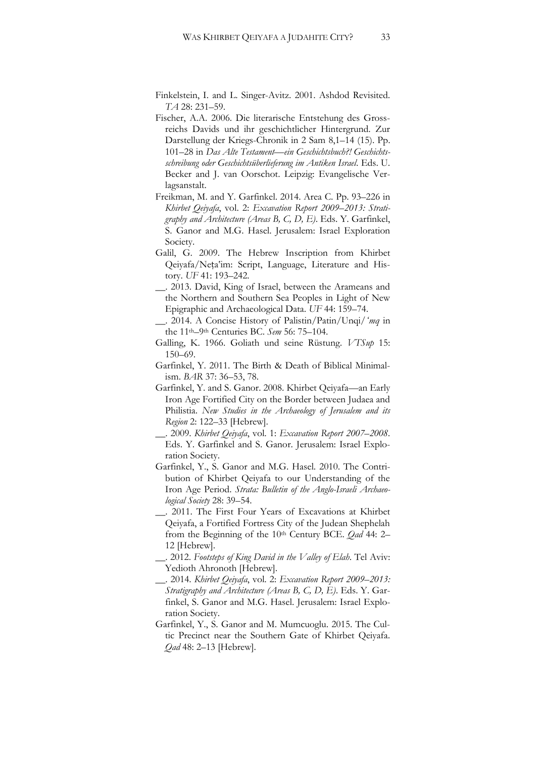- Finkelstein, I. and L. Singer-Avitz. 2001. Ashdod Revisited. *TA* 28: 231–59.
- Fischer, A.A. 2006. Die literarische Entstehung des Grossreichs Davids und ihr geschichtlicher Hintergrund. Zur Darstellung der Kriegs-Chronik in 2 Sam 8,1–14 (15). Pp. 101–28 in *Das Alte Testament—ein Geschichtsbuch?! Geschichtsschreibung oder Geschichtsüberlieferung im Antiken Israel*. Eds. U. Becker and J. van Oorschot. Leipzig: Evangelische Verlagsanstalt.
- Freikman, M. and Y. Garfinkel. 2014. Area C. Pp. 93–226 in *Khirbet Qeiyafa*, vol. 2: *Excavation Report 2009*–*2013: Stratigraphy and Architecture (Areas B, C, D, E)*. Eds. Y. Garfinkel, S. Ganor and M.G. Hasel. Jerusalem: Israel Exploration Society.
- Galil, G. 2009. The Hebrew Inscription from Khirbet Qeiyafa/Neṭa'im: Script, Language, Literature and History. *UF* 41: 193–242.
- \_\_. 2013. David, King of Israel, between the Arameans and the Northern and Southern Sea Peoples in Light of New Epigraphic and Archaeological Data. *UF* 44: 159–74.
- \_\_. 2014. A Concise History of Palistin/Patin/Unqi/*ʻmq* in the 11th–9th Centuries BC. *Sem* 56: 75–104.
- Galling, K. 1966. Goliath und seine Rüstung. *VTSup* 15: 150–69.
- Garfinkel, Y. 2011. The Birth & Death of Biblical Minimalism. *BAR* 37: 36–53, 78.
- Garfinkel, Y. and S. Ganor. 2008. Khirbet Qeiyafa—an Early Iron Age Fortified City on the Border between Judaea and Philistia. *New Studies in the Archaeology of Jerusalem and its Region* 2: 122–33 [Hebrew].
- \_\_. 2009. *Khirbet Qeiyafa*, vol. 1: *Excavation Report 2007–2008*. Eds. Y. Garfinkel and S. Ganor. Jerusalem: Israel Exploration Society.
- Garfinkel, Y., S. Ganor and M.G. Hasel. 2010. The Contribution of Khirbet Qeiyafa to our Understanding of the Iron Age Period. *Strata: Bulletin of the Anglo-Israeli Archaeological Society* 28: 39–54.
- \_\_. 2011. The First Four Years of Excavations at Khirbet Qeiyafa, a Fortified Fortress City of the Judean Shephelah from the Beginning of the 10th Century BCE. *Qad* 44: 2– 12 [Hebrew].
- \_\_. 2012. *Footsteps of King David in the Valley of Elah*. Tel Aviv: Yedioth Ahronoth [Hebrew].
- \_\_. 2014. *Khirbet Qeiyafa*, vol. 2: *Excavation Report 2009*–*2013: Stratigraphy and Architecture (Areas B, C, D, E)*. Eds. Y. Garfinkel, S. Ganor and M.G. Hasel. Jerusalem: Israel Exploration Society.
- Garfinkel, Y., S. Ganor and M. Mumcuoglu. 2015. The Cultic Precinct near the Southern Gate of Khirbet Qeiyafa. *Qad* 48: 2–13 [Hebrew].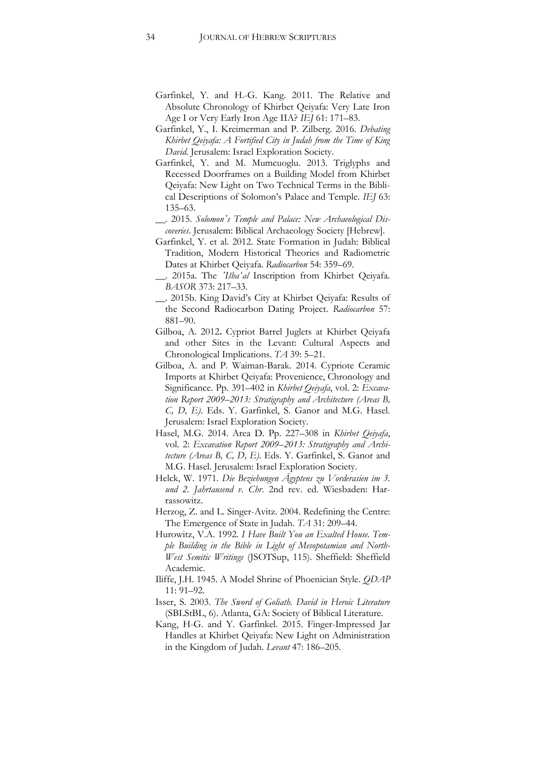- Garfinkel, Y. and H.-G. Kang. 2011. The Relative and Absolute Chronology of Khirbet Qeiyafa: Very Late Iron Age I or Very Early Iron Age IIA? *IEJ* 61: 171–83.
- Garfinkel, Y., I. Kreimerman and P. Zilberg. 2016*. Debating Khirbet Qeiyafa: A Fortified City in Judah from the Time of King David*. Jerusalem: Israel Exploration Society.
- Garfinkel, Y. and M. Mumcuoglu. 2013. Triglyphs and Recessed Doorframes on a Building Model from Khirbet Qeiyafa: New Light on Two Technical Terms in the Biblical Descriptions of Solomon's Palace and Temple. *IEJ* 63: 135–63.
- \_\_. 2015. *Solomon's Temple and Palace: New Archaeological Discoveries*. Jerusalem: Biblical Archaeology Society [Hebrew].
- Garfinkel, Y. et al. 2012. State Formation in Judah: Biblical Tradition, Modern Historical Theories and Radiometric Dates at Khirbet Qeiyafa. *Radiocarbon* 54: 359–69.
- \_\_. 2015a. The *'Išbaʻal* Inscription from Khirbet Qeiyafa. *BASOR* 373: 217–33.
- \_\_. 2015b. King David's City at Khirbet Qeiyafa: Results of the Second Radiocarbon Dating Project. *Radiocarbon* 57: 881–90.
- Gilboa, A. 2012**.** Cypriot Barrel Juglets at Khirbet Qeiyafa and other Sites in the Levant: Cultural Aspects and Chronological Implications. *TA* 39: 5–21.
- Gilboa, A. and P. Waiman-Barak. 2014. Cypriote Ceramic Imports at Khirbet Qeiyafa: Provenience, Chronology and Significance. Pp. 391–402 in *Khirbet Qeiyafa*, vol. 2: *Excavation Report 2009*–*2013: Stratigraphy and Architecture (Areas B, C, D, E)*. Eds. Y. Garfinkel, S. Ganor and M.G. Hasel. Jerusalem: Israel Exploration Society.
- Hasel, M.G. 2014. Area D. Pp. 227–308 in *Khirbet Qeiyafa*, vol. 2: *Excavation Report 2009*–*2013: Stratigraphy and Architecture (Areas B, C, D, E)*. Eds. Y. Garfinkel, S. Ganor and M.G. Hasel. Jerusalem: Israel Exploration Society.
- Helck, W. 1971. *Die Beziehungen Ägyptens zu Vorderasien im 3. und 2. Jahrtausend v. Chr*. 2nd rev. ed. Wiesbaden: Harrassowitz.
- Herzog, Z. and L. Singer-Avitz. 2004. Redefining the Centre: The Emergence of State in Judah. *TA* 31: 209–44.
- Hurowitz, V.A. 1992. *I Have Built You an Exalted House. Temple Building in the Bible in Light of Mesopotamian and North-West Semitic Writings* (JSOTSup, 115). Sheffield: Sheffield Academic.
- Iliffe, J.H. 1945. A Model Shrine of Phoenician Style. *QDAP* 11: 91–92.
- Isser, S. 2003. *The Sword of Goliath. David in Heroic Literature* (SBLStBL, 6). Atlanta, GA: Society of Biblical Literature.
- [Kang,](http://www.maneyonline.com/action/doSearch?ContribStored=Kang%2C+H) H-G. and Y. Garfinkel. 2015. Finger-Impressed Jar Handles at Khirbet Qeiyafa: New Light on Administration in the Kingdom of Judah. *Levant* 47: 186–205.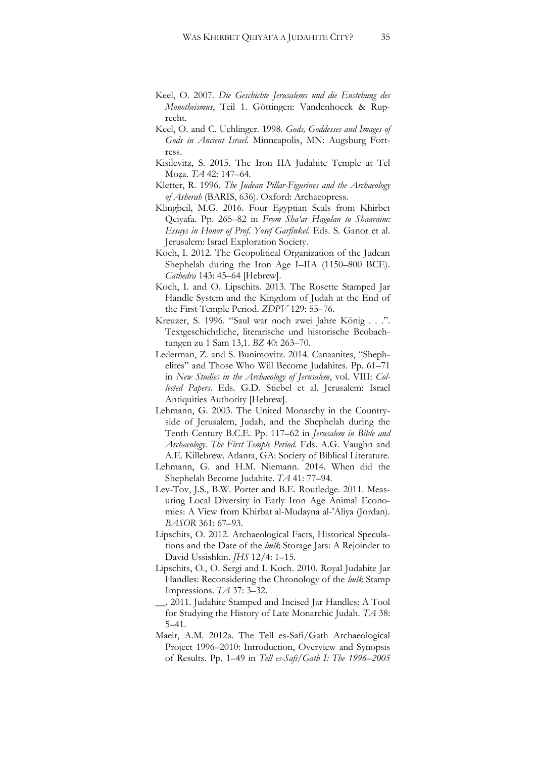- Keel, O. 2007. *Die Geschichte Jerusalems und die Enstehung des Monotheismus*, Teil 1. Göttingen: Vandenhoeck & Ruprecht.
- Keel, O. and C. Uehlinger. 1998. *Gods, Goddesses and Images of Gods in Ancient Israel*. Minneapolis, MN: Augsburg Fortress.
- Kisilevitz, S. 2015. The Iron IIA Judahite Temple at Tel Moẓa. *TA* 42: 147–64.
- Kletter, R. 1996. *The Judean Pillar-Figurines and the Archaeology of Asherah* (BARIS, 636). Oxford: Archaeopress.
- Klingbeil, M.G. 2016. Four Egyptian Seals from Khirbet Qeiyafa. Pp. 265–82 in *From Sha'ar Hagolan to Shaaraim: Essays in Honor of Prof. Yosef Garfinkel*. Eds. S. Ganor et al. Jerusalem: Israel Exploration Society.
- Koch, I. 2012. The Geopolitical Organization of the Judean Shephelah during the Iron Age I–IIA (1150–800 BCE). *Cathedra* 143: 45–64 [Hebrew].
- Koch, I. and O. Lipschits. 2013. The Rosette Stamped Jar Handle System and the Kingdom of Judah at the End of the First Temple Period. *ZDPV* 129: 55–76.
- Kreuzer, S. 1996. "Saul war noch zwei Jahre König . . .". Textgeschichtliche, literarische und historische Beobachtungen zu 1 Sam 13,1. *BZ* 40: 263–70.
- Lederman, Z. and S. Bunimovitz. 2014. Canaanites, "Shephelites" and Those Who Will Become Judahites. Pp. 61–71 in *New Studies in the Archaeology of Jerusalem*, vol. VIII: *Collected Papers*. Eds. G.D. Stiebel et al. Jerusalem: Israel Antiquities Authority [Hebrew].
- Lehmann, G. 2003. The United Monarchy in the Countryside of Jerusalem, Judah, and the Shephelah during the Tenth Century B.C.E. Pp. 117–62 in *Jerusalem in Bible and Archaeology. The First Temple Period*. Eds. A.G. Vaughn and A.E. Killebrew. Atlanta, GA: Society of Biblical Literature.
- Lehmann, G. and H.M. Niemann. 2014. When did the Shephelah Become Judahite. *TA* 41: 77–94.
- Lev-Tov, J.S., B.W. Porter and B.E. Routledge. 2011. Measuring Local Diversity in Early Iron Age Animal Economies: A View from Khirbat al-Mudayna al-'Aliya (Jordan). *BASOR* 361: 67–93.
- Lipschits, O. 2012. Archaeological Facts, Historical Speculations and the Date of the *lmlk* Storage Jars: A Rejoinder to David Ussishkin. *JHS* 12/4: 1–15.
- Lipschits, O., O. Sergi and I. Koch. 2010. Royal Judahite Jar Handles: Reconsidering the Chronology of the *lmlk* Stamp Impressions. *TA* 37: 3–32.
- \_\_. 2011. Judahite Stamped and Incised Jar Handles: A Tool for Studying the History of Late Monarchic Judah. *TA* 38: 5–41.
- Maeir, A.M. 2012a. The Tell es-Safi/Gath Archaeological Project 1996–2010: Introduction, Overview and Synopsis of Results. Pp. 1–49 in *Tell es-Safi/Gath I: The 1996*–*2005*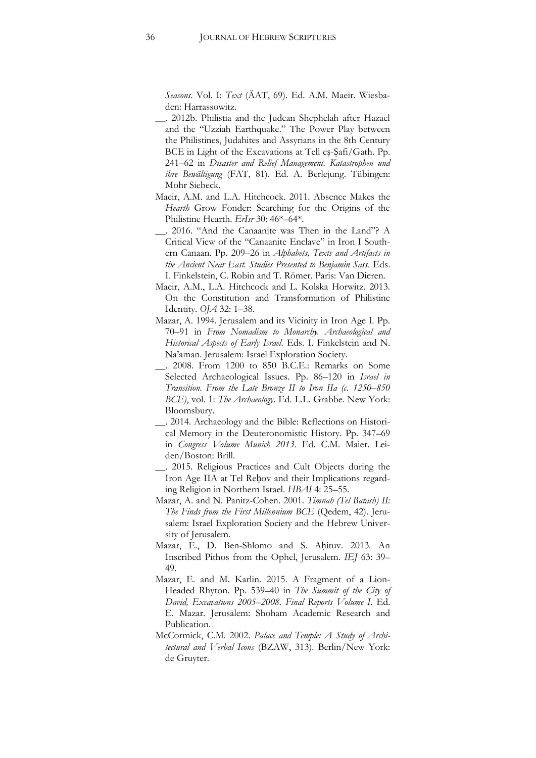*Seasons*. Vol. I: *Text* (ÄAT, 69). Ed. A.M. Maeir. Wiesbaden: Harrassowitz.

- \_\_. 2012b. Philistia and the Judean Shephelah after Hazael and the "Uzziah Earthquake." The Power Play between the Philistines, Judahites and Assyrians in the 8th Century BCE in Light of the Excavations at Tell eṣ-Ṣafi/Gath. Pp. 241–62 in *Disaster and Relief Management. Katastrophen und ihre Bewältigung* [\(FAT,](javascript:open_window(%22http://a20.libnet.ac.il:80/F/YT6VGRUHF2T792V25HY3BYB4FISUNFPJ1M1YQ2XN57C75U3JC6-44208?func=service&doc_number=010623747&line_number=0027&service_type=TAG%22);) 81). Ed. A. Berlejung. Tübingen: Mohr Siebeck.
- Maeir, A.M. and L.A. Hitchcock. 2011. Absence Makes the *Hearth* Grow Fonder: Searching for the Origins of the Philistine Hearth. *ErIsr* 30: 46\*–64\*.
- \_\_. 2016. "And the Canaanite was Then in the Land"? A Critical View of the "Canaanite Enclave" in Iron I Southern Canaan. Pp. 209–26 in *Alphabets, Texts and Artifacts in the Ancient Near East. Studies Presented to Benjamin Sass*. Eds. I. Finkelstein, C. Robin and T. Römer. Paris: Van Dieren.
- Maeir, A.M., L.A. Hitchcock and L. Kolska Horwitz. 2013. On the Constitution and Transformation of Philistine Identity. *OJA* 32: 1–38.
- Mazar, A. 1994. Jerusalem and its Vicinity in Iron Age I. Pp. 70–91 in *From Nomadism to Monarchy. Archaeological and Historical Aspects of Early Israel*. Eds. I. Finkelstein and N. Na'aman. Jerusalem: Israel Exploration Society.
- \_\_. 2008. From 1200 to 850 B.C.E.: Remarks on Some Selected Archaeological Issues. Pp. 86–120 in *Israel in Transition. From the Late Bronze II to Iron IIa (c. 1250*–*850 BCE)*, vol. 1: *The Archaeology*. Ed. L.L. Grabbe. New York: Bloomsbury.
- \_\_. 2014. Archaeology and the Bible: Reflections on Historical Memory in the Deuteronomistic History. Pp. 347–69 in *Congress Volume Munich 2013*. Ed. C.M. Maier. Leiden/Boston: Brill.
- \_\_. 2015. Religious Practices and Cult Objects during the Iron Age IIA at Tel Reḥov and their Implications regarding Religion in Northern Israel. *[HB](http://www.ingentaconnect.com/content/mohr/hebai)AI* 4: 25–55.
- Mazar, A. and N. Panitz-Cohen. 2001. *Timnah (Tel Batash) II: The Finds from the First Millennium BCE* (Qedem, 42). Jerusalem: Israel Exploration Society and the Hebrew University of Jerusalem.
- Mazar, E., D. Ben-Shlomo and S. Aḥituv. 2013. An Inscribed Pithos from the Ophel, Jerusalem. *IEJ* 63: 39– 49.
- Mazar, E. and M. Karlin. 2015. A Fragment of a Lion-Headed Rhyton. Pp. 539–40 in *The Summit of the City of David, Excavations 2005–2008. Final Reports Volume I*. Ed. E. Mazar. Jerusalem: Shoham Academic Research and Publication.
- McCormick, C.M. 2002. *Palace and Temple: A Study of Architectural and Verbal Icons* (BZAW, 313). Berlin/New York: de Gruyter.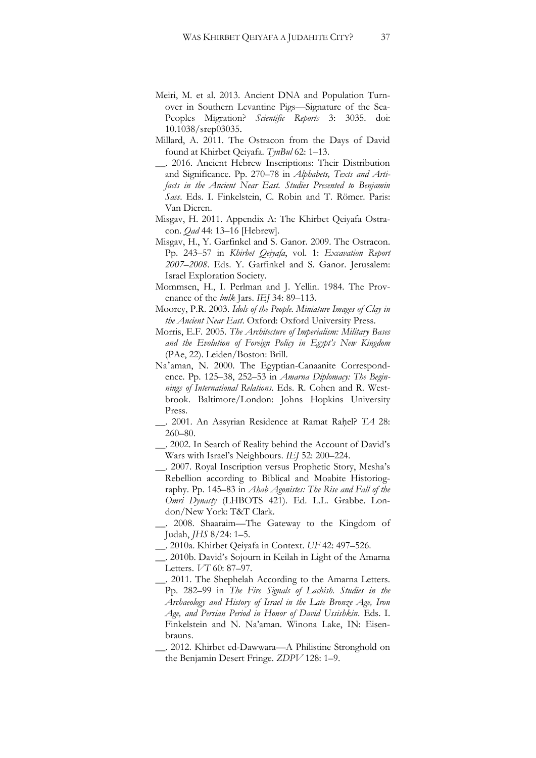- Meiri, M. et al. 2013. Ancient DNA and Population Turnover in Southern Levantine Pigs—Signature of the Sea-Peoples Migration? *Scientific Reports* 3: 3035. doi: 10.1038/srep03035.
- Millard, A. 2011. The Ostracon from the Days of David found at Khirbet Qeiyafa. *TynBul* 62: 1–13.
- \_\_. 2016. Ancient Hebrew Inscriptions: Their Distribution and Significance. Pp. 270–78 in *Alphabets, Texts and Artifacts in the Ancient Near East. Studies Presented to Benjamin Sass*. Eds. I. Finkelstein, C. Robin and T. Römer. Paris: Van Dieren.
- Misgav, H. 2011. Appendix A: The Khirbet Qeiyafa Ostracon. *Qad* 44: 13–16 [Hebrew].
- Misgav, H., Y. Garfinkel and S. Ganor. 2009. The Ostracon. Pp. 243–57 in *Khirbet Qeiyafa*, vol. 1: *Excavation Report 2007–2008*. Eds. Y. Garfinkel and S. Ganor. Jerusalem: Israel Exploration Society.
- Mommsen, H., I. Perlman and J. Yellin. 1984. The Provenance of the *lmlk* Jars. *IEJ* 34: 89–113.
- Moorey, P.R. 2003. *Idols of the People. Miniature Images of Clay in the Ancient Near East*. Oxford: Oxford University Press.
- Morris, E.F. 2005. *The Architecture of Imperialism: Military Bases and the Evolution of Foreign Policy in Egypt's New Kingdom* (PAe, 22). Leiden/Boston: Brill.
- Na'aman, N. 2000. The Egyptian-Canaanite Correspondence. Pp. 125–38, 252–53 in *Amarna Diplomacy: The Beginnings of International Relations*. Eds. R. Cohen and R. Westbrook. Baltimore/London: Johns Hopkins University Press.
- \_\_. 2001. An Assyrian Residence at Ramat Raḥel? *TA* 28: 260–80.

\_\_. 2002. In Search of Reality behind the Account of David's Wars with Israel's Neighbours. *IEJ* 52: 200–224.

- \_\_. 2007. Royal Inscription versus Prophetic Story, Mesha's Rebellion according to Biblical and Moabite Historiography. Pp. 145–83 in *Ahab Agonistes: The Rise and Fall of the Omri Dynasty* (LHBOTS 421). Ed. L.L. Grabbe. London/New York: T&T Clark.
- \_\_. 2008. Shaaraim—The Gateway to the Kingdom of Judah, *JHS* 8/24: 1–5.
- \_\_. 2010a. Khirbet Qeiyafa in Context. *UF* 42: 497–526.
- \_\_. 2010b. David's Sojourn in Keilah in Light of the Amarna Letters. *VT* 60: 87–97.
- \_\_. 2011. The Shephelah According to the Amarna Letters. Pp. 282–99 in *The Fire Signals of Lachish. Studies in the Archaeology and History of Israel in the Late Bronze Age, Iron Age, and Persian Period in Honor of David Ussishkin*. Eds. I. Finkelstein and N. Na'aman. Winona Lake, IN: Eisenbrauns.
- \_\_. 2012. Khirbet ed-Dawwara—A Philistine Stronghold on the Benjamin Desert Fringe. *ZDPV* 128: 1–9.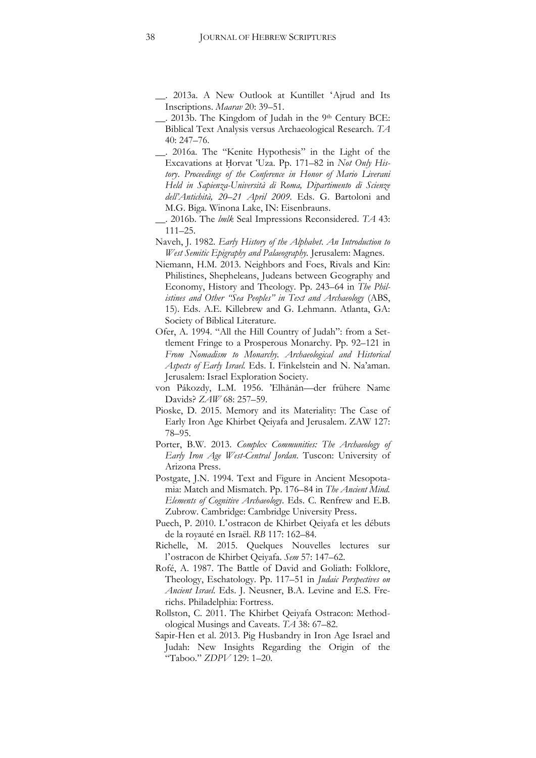\_\_. 2013a. A New Outlook at Kuntillet ʻAjrud and Its Inscriptions. *Maarav* 20: 39–51.

\_\_. 2013b. The Kingdom of Judah in the 9th Century BCE: Biblical Text Analysis versus Archaeological Research. *TA* 40: 247–76.

- \_\_. 2016a. The "Kenite Hypothesis" in the Light of the Excavations at Ḥorvat 'Uza. Pp. 171–82 in *Not Only History*. *Proceedings of the Conference in Honor of Mario Liverani Held in Sapienza-Università di Roma, Dipartimento di Scienze dell'Antichità, 20–21 April 2009*. Eds. G. Bartoloni and M.G. Biga. Winona Lake, IN: Eisenbrauns.
- \_\_. 2016b. The *lmlk* Seal Impressions Reconsidered. *TA* 43: 111–25.
- Naveh, J. 1982. *Early History of the Alphabet*. *An Introduction to West Semitic Epigraphy and Palaeography.* Jerusalem: Magnes.
- Niemann, H.M. 2013. Neighbors and Foes, Rivals and Kin: Philistines, Shepheleans, Judeans between Geography and Economy, History and Theology. Pp. 243–64 in *The Philistines and Other "Sea Peoples" in Text and Archaeology* (ABS, 15). Eds. A.E. Killebrew and G. Lehmann. Atlanta, GA: Society of Biblical Literature.
- Ofer, A. 1994. "All the Hill Country of Judah": from a Settlement Fringe to a Prosperous Monarchy. Pp. 92–121 in *From Nomadism to Monarchy. Archaeological and Historical Aspects of Early Israel.* Eds. I. Finkelstein and N. Na'aman. Jerusalem: Israel Exploration Society.
- von Pákozdy, L.M. 1956. 'Elhånån—der frühere Name Davids? *ZAW* 68: 257–59.
- Pioske, D. 2015. [Memory and its Materiality: The Case of](https://www.academia.edu/8126775/Memory_and_its_Materiality_The_Case_of_Early_Iron_Age_Khirbet_Qeiyafa_and_Jerusalem._ZAW_127.1_2015_78-95)  [Early Iron Age Khirbet Qeiyafa and Jerusalem. ZAW 127:](https://www.academia.edu/8126775/Memory_and_its_Materiality_The_Case_of_Early_Iron_Age_Khirbet_Qeiyafa_and_Jerusalem._ZAW_127.1_2015_78-95)  78–[95.](https://www.academia.edu/8126775/Memory_and_its_Materiality_The_Case_of_Early_Iron_Age_Khirbet_Qeiyafa_and_Jerusalem._ZAW_127.1_2015_78-95)
- Porter, B.W. 2013. *Complex Communities: The Archaeology of Early Iron Age West-Central Jordan*. Tuscon: University of Arizona Press.
- Postgate, J.N. 1994. Text and Figure in Ancient Mesopotamia: Match and Mismatch. Pp. 176–84 in *The Ancient Mind. Elements of Cognitive Archaeology*. Eds. C. Renfrew and E.B. Zubrow. Cambridge: Cambridge University Press.
- Puech, P. 2010. L'ostracon de Khirbet Qeiyafa et les débuts de la royauté en Israël. *RB* 117: 162–84.
- Richelle, M. 2015. Quelques Nouvelles lectures sur l'ostracon de Khirbet Qeiyafa. *Sem* 57: 147–62.
- Rofé, A. 1987. The Battle of David and Goliath: Folklore, Theology, Eschatology. Pp. 117–51 in *Judaic Perspectives on Ancient Israel*. Eds. J. Neusner, B.A. Levine and E.S. Frerichs. Philadelphia: Fortress.
- Rollston, C. 2011. The Khirbet Qeiyafa Ostracon: Methodological Musings and Caveats. *TA* 38: 67–82.
- Sapir-Hen et al. 2013. Pig Husbandry in Iron Age Israel and Judah: New Insights Regarding the Origin of the "Taboo." *ZDPV* 129: 1–20.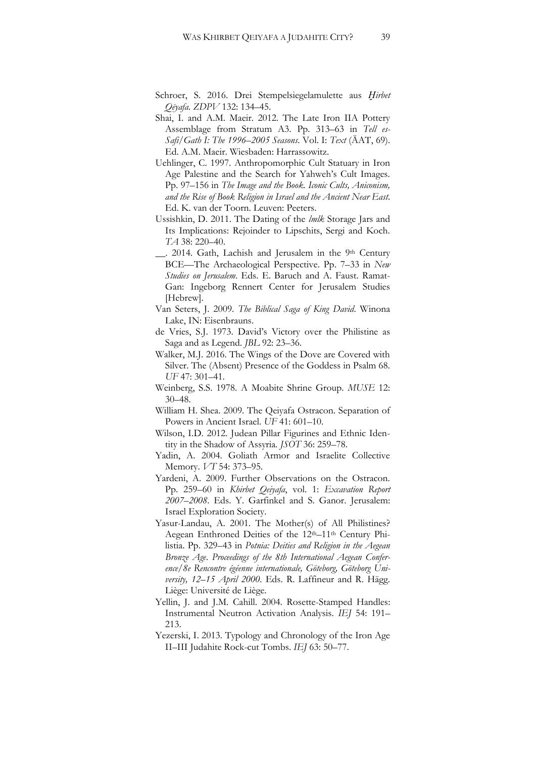- Schroer, S. 2016. Drei Stempelsiegelamulette aus *Ḫirbet Qēyafa*. *ZDPV* 132: 134–45.
- Shai, I. and A.M. Maeir. 2012. The Late Iron IIA Pottery Assemblage from Stratum A3. Pp. 313–63 in *Tell es-Safi/Gath I: The 1996*–*2005 Seasons*. Vol. I: *Text* (ÄAT, 69). Ed. A.M. Maeir. Wiesbaden: Harrassowitz.
- Uehlinger, C. 1997. Anthropomorphic Cult Statuary in Iron Age Palestine and the Search for Yahweh's Cult Images. Pp. 97–156 in *The Image and the Book. Iconic Cults, Aniconism, and the Rise of Book Religion in Israel and the Ancient Near East*. Ed. K. van der Toorn. Leuven: Peeters.
- Ussishkin, D. 2011. The Dating of the *lmlk* Storage Jars and Its Implications: Rejoinder to Lipschits, Sergi and Koch. *TA* 38: 220–40.
- \_\_. 2014. Gath, Lachish and Jerusalem in the 9th Century BCE—The Archaeological Perspective. Pp. 7–33 in *New Studies on Jerusalem*. Eds. E. Baruch and A. Faust. Ramat-Gan: Ingeborg Rennert Center for Jerusalem Studies [Hebrew].
- Van Seters, J. 2009. *The Biblical Saga of King David*. Winona Lake, IN: Eisenbrauns.
- de Vries, S.J. 1973. David's Victory over the Philistine as Saga and as Legend. *JBL* 92: 23–36.
- Walker, M.J. 2016. The Wings of the Dove are Covered with Silver. The (Absent) Presence of the Goddess in Psalm 68. *UF* 47: 301–41.
- Weinberg, S.S. 1978. A Moabite Shrine Group. *MUSE* 12: 30–48.
- William H. Shea. 2009. The Qeiyafa Ostracon. Separation of Powers in Ancient Israel. *UF* 41: 601–10.
- Wilson, I.D. 2012. Judean Pillar Figurines and Ethnic Identity in the Shadow of Assyria. *JSOT* 36: 259–78.
- Yadin, A. 2004. Goliath Armor and Israelite Collective Memory. *VT* 54: 373–95.
- Yardeni, A. 2009. Further Observations on the Ostracon. Pp. 259–60 in *Khirbet Qeiyafa*, vol. 1: *Excavation Report 2007–2008*. Eds. Y. Garfinkel and S. Ganor. Jerusalem: Israel Exploration Society.
- Yasur-Landau, A. 2001. The Mother(s) of All Philistines? Aegean Enthroned Deities of the 12<sup>th</sup>–11<sup>th</sup> Century Philistia. Pp. 329–43 in *Potnia: Deities and Religion in the Aegean Bronze Age*. *Proceedings of the 8th International Aegean Conference/8e Rencontre égéenne internationale, Göteborg, Göteborg University, 12–15 April 2000*. Eds. R. Laffineur and R. Hägg. Liège: Université de Liège.
- Yellin, J. and J.M. Cahill. 2004. Rosette-Stamped Handles: Instrumental Neutron Activation Analysis. *IEJ* 54: 191– 213.
- Yezerski, I. 2013. Typology and Chronology of the Iron Age II–III Judahite Rock-cut Tombs. *IEJ* 63: 50–77.